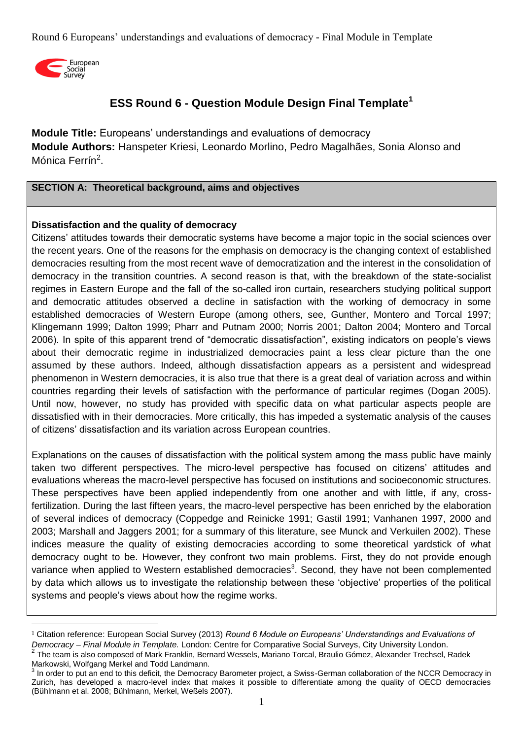

<u>.</u>

# **ESS Round 6 - Question Module Design Final Template<sup>1</sup>**

**Module Title:** Europeans' understandings and evaluations of democracy **Module Authors:** Hanspeter Kriesi, Leonardo Morlino, Pedro Magalhães, Sonia Alonso and Mónica Ferrín<sup>2</sup>.

#### **SECTION A: Theoretical background, aims and objectives**

#### **Dissatisfaction and the quality of democracy**

Citizens' attitudes towards their democratic systems have become a major topic in the social sciences over the recent years. One of the reasons for the emphasis on democracy is the changing context of established democracies resulting from the most recent wave of democratization and the interest in the consolidation of democracy in the transition countries. A second reason is that, with the breakdown of the state-socialist regimes in Eastern Europe and the fall of the so-called iron curtain, researchers studying political support and democratic attitudes observed a decline in satisfaction with the working of democracy in some established democracies of Western Europe (among others, see, Gunther, Montero and Torcal 1997; Klingemann 1999; Dalton 1999; Pharr and Putnam 2000; Norris 2001; Dalton 2004; Montero and Torcal 2006). In spite of this apparent trend of "democratic dissatisfaction", existing indicators on people's views about their democratic regime in industrialized democracies paint a less clear picture than the one assumed by these authors. Indeed, although dissatisfaction appears as a persistent and widespread phenomenon in Western democracies, it is also true that there is a great deal of variation across and within countries regarding their levels of satisfaction with the performance of particular regimes (Dogan 2005). Until now, however, no study has provided with specific data on what particular aspects people are dissatisfied with in their democracies. More critically, this has impeded a systematic analysis of the causes of citizens' dissatisfaction and its variation across European countries.

Explanations on the causes of dissatisfaction with the political system among the mass public have mainly taken two different perspectives. The micro-level perspective has focused on citizens' attitudes and evaluations whereas the macro-level perspective has focused on institutions and socioeconomic structures. These perspectives have been applied independently from one another and with little, if any, crossfertilization. During the last fifteen years, the macro-level perspective has been enriched by the elaboration of several indices of democracy (Coppedge and Reinicke 1991; Gastil 1991; Vanhanen 1997, 2000 and 2003; Marshall and Jaggers 2001; for a summary of this literature, see Munck and Verkuilen 2002). These indices measure the quality of existing democracies according to some theoretical yardstick of what democracy ought to be. However, they confront two main problems. First, they do not provide enough variance when applied to Western established democracies<sup>3</sup>. Second, they have not been complemented by data which allows us to investigate the relationship between these 'objective' properties of the political systems and people's views about how the regime works.

<sup>1</sup> Citation reference: European Social Survey (2013) *Round 6 Module on Europeans' Understandings and Evaluations of Democracy – Final Module in Template.* London: Centre for Comparative Social Surveys, City University London. 2 The team is also composed of Mark Franklin, Bernard Wessels, Mariano Torcal, Braulio Gómez, Alexander Trechsel, Radek

Markowski, Wolfgang Merkel and Todd Landmann. 3 In order to put an end to this deficit, the Democracy Barometer project, a Swiss-German collaboration of the NCCR Democracy in Zurich, has developed a macro-level index that makes it possible to differentiate among the quality of OECD democracies (Bühlmann et al. 2008; Bühlmann, Merkel, Weßels 2007).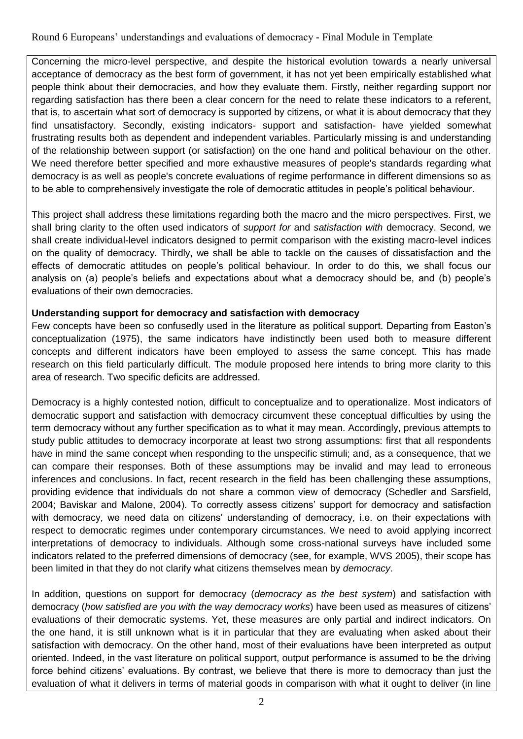Concerning the micro-level perspective, and despite the historical evolution towards a nearly universal acceptance of democracy as the best form of government, it has not yet been empirically established what people think about their democracies, and how they evaluate them. Firstly, neither regarding support nor regarding satisfaction has there been a clear concern for the need to relate these indicators to a referent, that is, to ascertain what sort of democracy is supported by citizens, or what it is about democracy that they find unsatisfactory. Secondly, existing indicators- support and satisfaction- have yielded somewhat frustrating results both as dependent and independent variables. Particularly missing is and understanding of the relationship between support (or satisfaction) on the one hand and political behaviour on the other. We need therefore better specified and more exhaustive measures of people's standards regarding what democracy is as well as people's concrete evaluations of regime performance in different dimensions so as to be able to comprehensively investigate the role of democratic attitudes in people's political behaviour.

This project shall address these limitations regarding both the macro and the micro perspectives. First, we shall bring clarity to the often used indicators of *support for* and *satisfaction with* democracy. Second, we shall create individual-level indicators designed to permit comparison with the existing macro-level indices on the quality of democracy. Thirdly, we shall be able to tackle on the causes of dissatisfaction and the effects of democratic attitudes on people's political behaviour. In order to do this, we shall focus our analysis on (a) people's beliefs and expectations about what a democracy should be, and (b) people's evaluations of their own democracies.

# **Understanding support for democracy and satisfaction with democracy**

Few concepts have been so confusedly used in the literature as political support. Departing from Easton's conceptualization (1975), the same indicators have indistinctly been used both to measure different concepts and different indicators have been employed to assess the same concept. This has made research on this field particularly difficult. The module proposed here intends to bring more clarity to this area of research. Two specific deficits are addressed.

Democracy is a highly contested notion, difficult to conceptualize and to operationalize. Most indicators of democratic support and satisfaction with democracy circumvent these conceptual difficulties by using the term democracy without any further specification as to what it may mean. Accordingly, previous attempts to study public attitudes to democracy incorporate at least two strong assumptions: first that all respondents have in mind the same concept when responding to the unspecific stimuli; and, as a consequence, that we can compare their responses. Both of these assumptions may be invalid and may lead to erroneous inferences and conclusions. In fact, recent research in the field has been challenging these assumptions, providing evidence that individuals do not share a common view of democracy (Schedler and Sarsfield, 2004; Baviskar and Malone, 2004). To correctly assess citizens' support for democracy and satisfaction with democracy, we need data on citizens' understanding of democracy, i.e. on their expectations with respect to democratic regimes under contemporary circumstances. We need to avoid applying incorrect interpretations of democracy to individuals. Although some cross-national surveys have included some indicators related to the preferred dimensions of democracy (see, for example, WVS 2005), their scope has been limited in that they do not clarify what citizens themselves mean by *democracy*.

In addition, questions on support for democracy (*democracy as the best system*) and satisfaction with democracy (*how satisfied are you with the way democracy works*) have been used as measures of citizens' evaluations of their democratic systems. Yet, these measures are only partial and indirect indicators. On the one hand, it is still unknown what is it in particular that they are evaluating when asked about their satisfaction with democracy. On the other hand, most of their evaluations have been interpreted as output oriented. Indeed, in the vast literature on political support, output performance is assumed to be the driving force behind citizens' evaluations. By contrast, we believe that there is more to democracy than just the evaluation of what it delivers in terms of material goods in comparison with what it ought to deliver (in line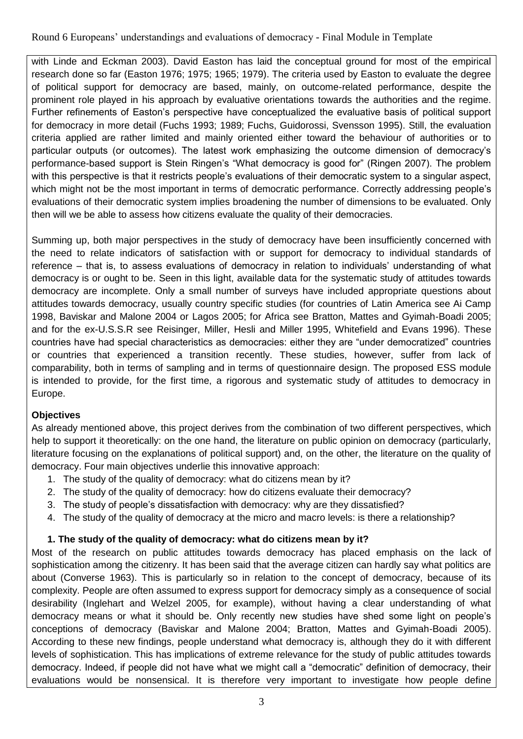with Linde and Eckman 2003). David Easton has laid the conceptual ground for most of the empirical research done so far (Easton 1976; 1975; 1965; 1979). The criteria used by Easton to evaluate the degree of political support for democracy are based, mainly, on outcome-related performance, despite the prominent role played in his approach by evaluative orientations towards the authorities and the regime. Further refinements of Easton's perspective have conceptualized the evaluative basis of political support for democracy in more detail (Fuchs 1993; 1989; Fuchs, Guidorossi, Svensson 1995). Still, the evaluation criteria applied are rather limited and mainly oriented either toward the behaviour of authorities or to particular outputs (or outcomes). The latest work emphasizing the outcome dimension of democracy's performance-based support is Stein Ringen's "What democracy is good for" (Ringen 2007). The problem with this perspective is that it restricts people's evaluations of their democratic system to a singular aspect, which might not be the most important in terms of democratic performance. Correctly addressing people's evaluations of their democratic system implies broadening the number of dimensions to be evaluated. Only then will we be able to assess how citizens evaluate the quality of their democracies.

Summing up, both major perspectives in the study of democracy have been insufficiently concerned with the need to relate indicators of satisfaction with or support for democracy to individual standards of reference – that is, to assess evaluations of democracy in relation to individuals' understanding of what democracy is or ought to be. Seen in this light, available data for the systematic study of attitudes towards democracy are incomplete. Only a small number of surveys have included appropriate questions about attitudes towards democracy, usually country specific studies (for countries of Latin America see Ai Camp 1998, Baviskar and Malone 2004 or Lagos 2005; for Africa see Bratton, Mattes and Gyimah-Boadi 2005; and for the ex-U.S.S.R see Reisinger, Miller, Hesli and Miller 1995, Whitefield and Evans 1996). These countries have had special characteristics as democracies: either they are "under democratized" countries or countries that experienced a transition recently. These studies, however, suffer from lack of comparability, both in terms of sampling and in terms of questionnaire design. The proposed ESS module is intended to provide, for the first time, a rigorous and systematic study of attitudes to democracy in Europe.

# **Objectives**

As already mentioned above, this project derives from the combination of two different perspectives, which help to support it theoretically: on the one hand, the literature on public opinion on democracy (particularly, literature focusing on the explanations of political support) and, on the other, the literature on the quality of democracy. Four main objectives underlie this innovative approach:

- 1. The study of the quality of democracy: what do citizens mean by it?
- 2. The study of the quality of democracy: how do citizens evaluate their democracy?
- 3. The study of people's dissatisfaction with democracy: why are they dissatisfied?
- 4. The study of the quality of democracy at the micro and macro levels: is there a relationship?

# **1. The study of the quality of democracy: what do citizens mean by it?**

Most of the research on public attitudes towards democracy has placed emphasis on the lack of sophistication among the citizenry. It has been said that the average citizen can hardly say what politics are about (Converse 1963). This is particularly so in relation to the concept of democracy, because of its complexity. People are often assumed to express support for democracy simply as a consequence of social desirability (Inglehart and Welzel 2005, for example), without having a clear understanding of what democracy means or what it should be. Only recently new studies have shed some light on people's conceptions of democracy (Baviskar and Malone 2004; Bratton, Mattes and Gyimah-Boadi 2005). According to these new findings, people understand what democracy is, although they do it with different levels of sophistication. This has implications of extreme relevance for the study of public attitudes towards democracy. Indeed, if people did not have what we might call a "democratic" definition of democracy, their evaluations would be nonsensical. It is therefore very important to investigate how people define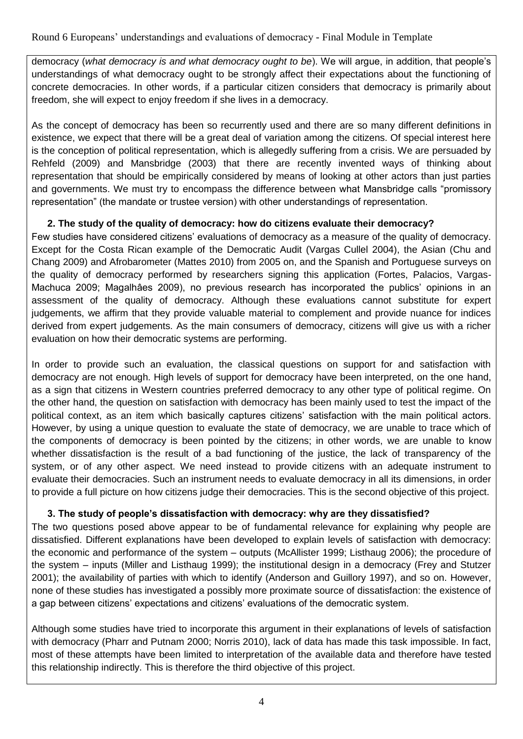democracy (*what democracy is and what democracy ought to be*). We will argue, in addition, that people's understandings of what democracy ought to be strongly affect their expectations about the functioning of concrete democracies. In other words, if a particular citizen considers that democracy is primarily about freedom, she will expect to enjoy freedom if she lives in a democracy.

As the concept of democracy has been so recurrently used and there are so many different definitions in existence, we expect that there will be a great deal of variation among the citizens. Of special interest here is the conception of political representation, which is allegedly suffering from a crisis. We are persuaded by Rehfeld (2009) and Mansbridge (2003) that there are recently invented ways of thinking about representation that should be empirically considered by means of looking at other actors than just parties and governments. We must try to encompass the difference between what Mansbridge calls "promissory representation" (the mandate or trustee version) with other understandings of representation.

# **2. The study of the quality of democracy: how do citizens evaluate their democracy?**

Few studies have considered citizens' evaluations of democracy as a measure of the quality of democracy. Except for the Costa Rican example of the Democratic Audit (Vargas Cullel 2004), the Asian (Chu and Chang 2009) and Afrobarometer (Mattes 2010) from 2005 on, and the Spanish and Portuguese surveys on the quality of democracy performed by researchers signing this application (Fortes, Palacios, Vargas-Machuca 2009; Magalhâes 2009), no previous research has incorporated the publics' opinions in an assessment of the quality of democracy. Although these evaluations cannot substitute for expert judgements, we affirm that they provide valuable material to complement and provide nuance for indices derived from expert judgements. As the main consumers of democracy, citizens will give us with a richer evaluation on how their democratic systems are performing.

In order to provide such an evaluation, the classical questions on support for and satisfaction with democracy are not enough. High levels of support for democracy have been interpreted, on the one hand, as a sign that citizens in Western countries preferred democracy to any other type of political regime. On the other hand, the question on satisfaction with democracy has been mainly used to test the impact of the political context, as an item which basically captures citizens' satisfaction with the main political actors. However, by using a unique question to evaluate the state of democracy, we are unable to trace which of the components of democracy is been pointed by the citizens; in other words, we are unable to know whether dissatisfaction is the result of a bad functioning of the justice, the lack of transparency of the system, or of any other aspect. We need instead to provide citizens with an adequate instrument to evaluate their democracies. Such an instrument needs to evaluate democracy in all its dimensions, in order to provide a full picture on how citizens judge their democracies. This is the second objective of this project.

# **3. The study of people's dissatisfaction with democracy: why are they dissatisfied?**

The two questions posed above appear to be of fundamental relevance for explaining why people are dissatisfied. Different explanations have been developed to explain levels of satisfaction with democracy: the economic and performance of the system – outputs (McAllister 1999; Listhaug 2006); the procedure of the system – inputs (Miller and Listhaug 1999); the institutional design in a democracy (Frey and Stutzer 2001); the availability of parties with which to identify (Anderson and Guillory 1997), and so on. However, none of these studies has investigated a possibly more proximate source of dissatisfaction: the existence of a gap between citizens' expectations and citizens' evaluations of the democratic system.

Although some studies have tried to incorporate this argument in their explanations of levels of satisfaction with democracy (Pharr and Putnam 2000; Norris 2010), lack of data has made this task impossible. In fact, most of these attempts have been limited to interpretation of the available data and therefore have tested this relationship indirectly. This is therefore the third objective of this project.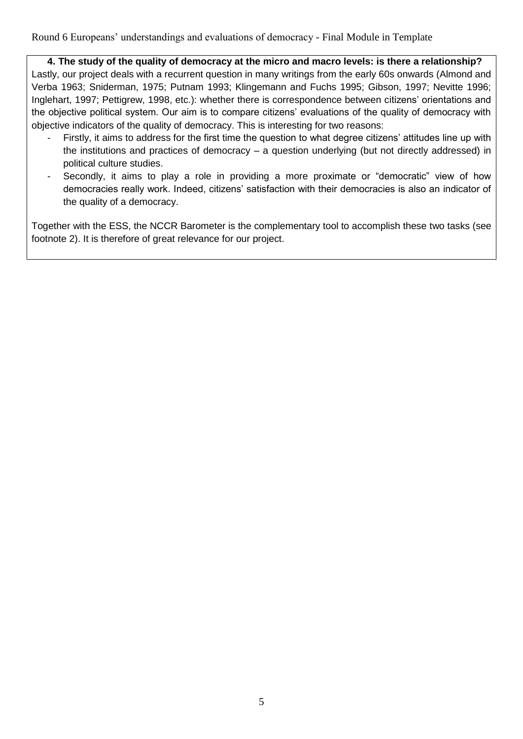**4. The study of the quality of democracy at the micro and macro levels: is there a relationship?** Lastly, our project deals with a recurrent question in many writings from the early 60s onwards (Almond and Verba 1963; Sniderman, 1975; Putnam 1993; Klingemann and Fuchs 1995; Gibson, 1997; Nevitte 1996; Inglehart, 1997; Pettigrew, 1998, etc.): whether there is correspondence between citizens' orientations and the objective political system. Our aim is to compare citizens' evaluations of the quality of democracy with objective indicators of the quality of democracy. This is interesting for two reasons:

- Firstly, it aims to address for the first time the question to what degree citizens' attitudes line up with the institutions and practices of democracy – a question underlying (but not directly addressed) in political culture studies.
- Secondly, it aims to play a role in providing a more proximate or "democratic" view of how democracies really work. Indeed, citizens' satisfaction with their democracies is also an indicator of the quality of a democracy.

Together with the ESS, the NCCR Barometer is the complementary tool to accomplish these two tasks (see footnote 2). It is therefore of great relevance for our project.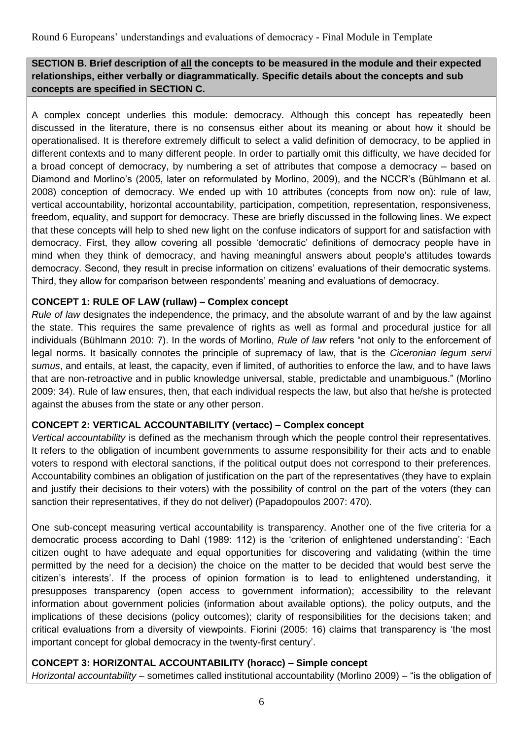# **SECTION B. Brief description of all the concepts to be measured in the module and their expected relationships, either verbally or diagrammatically. Specific details about the concepts and sub concepts are specified in SECTION C.**

A complex concept underlies this module: democracy. Although this concept has repeatedly been discussed in the literature, there is no consensus either about its meaning or about how it should be operationalised. It is therefore extremely difficult to select a valid definition of democracy, to be applied in different contexts and to many different people. In order to partially omit this difficulty, we have decided for a broad concept of democracy, by numbering a set of attributes that compose a democracy – based on Diamond and Morlino's (2005, later on reformulated by Morlino, 2009), and the NCCR's (Bühlmann et al. 2008) conception of democracy. We ended up with 10 attributes (concepts from now on): rule of law, vertical accountability, horizontal accountability, participation, competition, representation, responsiveness, freedom, equality, and support for democracy. These are briefly discussed in the following lines. We expect that these concepts will help to shed new light on the confuse indicators of support for and satisfaction with democracy. First, they allow covering all possible 'democratic' definitions of democracy people have in mind when they think of democracy, and having meaningful answers about people's attitudes towards democracy. Second, they result in precise information on citizens' evaluations of their democratic systems. Third, they allow for comparison between respondents' meaning and evaluations of democracy.

# **CONCEPT 1: RULE OF LAW (rullaw) – Complex concept**

*Rule of law* designates the independence, the primacy, and the absolute warrant of and by the law against the state. This requires the same prevalence of rights as well as formal and procedural justice for all individuals (Bühlmann 2010: 7). In the words of Morlino, *Rule of law* refers "not only to the enforcement of legal norms. It basically connotes the principle of supremacy of law, that is the *Ciceronian legum servi sumus*, and entails, at least, the capacity, even if limited, of authorities to enforce the law, and to have laws that are non-retroactive and in public knowledge universal, stable, predictable and unambiguous." (Morlino 2009: 34). Rule of law ensures, then, that each individual respects the law, but also that he/she is protected against the abuses from the state or any other person.

# **CONCEPT 2: VERTICAL ACCOUNTABILITY (vertacc) – Complex concept**

*Vertical accountability* is defined as the mechanism through which the people control their representatives. It refers to the obligation of incumbent governments to assume responsibility for their acts and to enable voters to respond with electoral sanctions, if the political output does not correspond to their preferences. Accountability combines an obligation of justification on the part of the representatives (they have to explain and justify their decisions to their voters) with the possibility of control on the part of the voters (they can sanction their representatives, if they do not deliver) (Papadopoulos 2007: 470).

One sub-concept measuring vertical accountability is transparency. Another one of the five criteria for a democratic process according to Dahl (1989: 112) is the 'criterion of enlightened understanding': 'Each citizen ought to have adequate and equal opportunities for discovering and validating (within the time permitted by the need for a decision) the choice on the matter to be decided that would best serve the citizen's interests'. If the process of opinion formation is to lead to enlightened understanding, it presupposes transparency (open access to government information); accessibility to the relevant information about government policies (information about available options), the policy outputs, and the implications of these decisions (policy outcomes); clarity of responsibilities for the decisions taken; and critical evaluations from a diversity of viewpoints. Fiorini (2005: 16) claims that transparency is 'the most important concept for global democracy in the twenty-first century'.

# **CONCEPT 3: HORIZONTAL ACCOUNTABILITY (horacc) – Simple concept**

*Horizontal accountability* – sometimes called institutional accountability (Morlino 2009) – "is the obligation of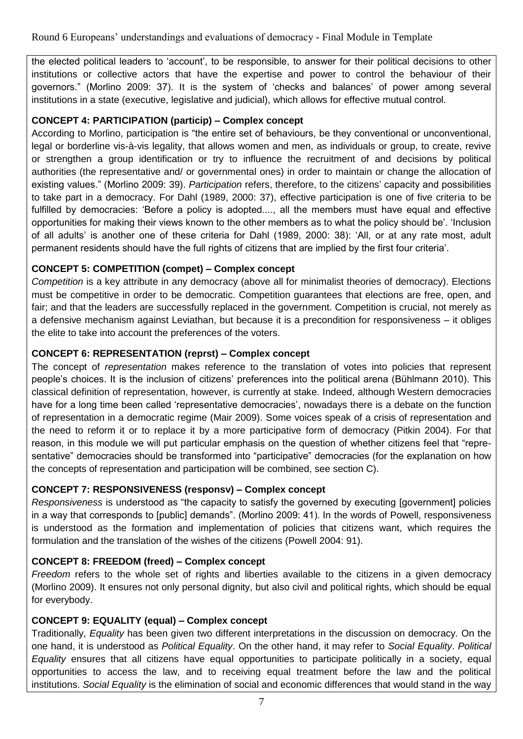the elected political leaders to 'account', to be responsible, to answer for their political decisions to other institutions or collective actors that have the expertise and power to control the behaviour of their governors." (Morlino 2009: 37). It is the system of 'checks and balances' of power among several institutions in a state (executive, legislative and judicial), which allows for effective mutual control.

# **CONCEPT 4: PARTICIPATION (particip) – Complex concept**

According to Morlino, participation is "the entire set of behaviours, be they conventional or unconventional, legal or borderline vis-à-vis legality, that allows women and men, as individuals or group, to create, revive or strengthen a group identification or try to influence the recruitment of and decisions by political authorities (the representative and/ or governmental ones) in order to maintain or change the allocation of existing values." (Morlino 2009: 39). *Participation* refers, therefore, to the citizens' capacity and possibilities to take part in a democracy. For Dahl (1989, 2000: 37), effective participation is one of five criteria to be fulfilled by democracies: 'Before a policy is adopted...., all the members must have equal and effective opportunities for making their views known to the other members as to what the policy should be'. 'Inclusion of all adults' is another one of these criteria for Dahl (1989, 2000: 38): 'All, or at any rate most, adult permanent residents should have the full rights of citizens that are implied by the first four criteria'.

## **CONCEPT 5: COMPETITION (compet) – Complex concept**

*Competition* is a key attribute in any democracy (above all for minimalist theories of democracy). Elections must be competitive in order to be democratic. Competition guarantees that elections are free, open, and fair; and that the leaders are successfully replaced in the government. Competition is crucial, not merely as a defensive mechanism against Leviathan, but because it is a precondition for responsiveness – it obliges the elite to take into account the preferences of the voters.

## **CONCEPT 6: REPRESENTATION (reprst) – Complex concept**

The concept of *representation* makes reference to the translation of votes into policies that represent people's choices. It is the inclusion of citizens' preferences into the political arena (Bühlmann 2010). This classical definition of representation, however, is currently at stake. Indeed, although Western democracies have for a long time been called 'representative democracies', nowadays there is a debate on the function of representation in a democratic regime (Mair 2009). Some voices speak of a crisis of representation and the need to reform it or to replace it by a more participative form of democracy (Pitkin 2004). For that reason, in this module we will put particular emphasis on the question of whether citizens feel that "representative" democracies should be transformed into "participative" democracies (for the explanation on how the concepts of representation and participation will be combined, see section C).

# **CONCEPT 7: RESPONSIVENESS (responsv) – Complex concept**

*Responsiveness* is understood as "the capacity to satisfy the governed by executing [government] policies in a way that corresponds to [public] demands". (Morlino 2009: 41). In the words of Powell, responsiveness is understood as the formation and implementation of policies that citizens want, which requires the formulation and the translation of the wishes of the citizens (Powell 2004: 91).

# **CONCEPT 8: FREEDOM (freed) – Complex concept**

*Freedom* refers to the whole set of rights and liberties available to the citizens in a given democracy (Morlino 2009). It ensures not only personal dignity, but also civil and political rights, which should be equal for everybody.

# **CONCEPT 9: EQUALITY (equal) – Complex concept**

Traditionally, *Equality* has been given two different interpretations in the discussion on democracy. On the one hand, it is understood as *Political Equality*. On the other hand, it may refer to *Social Equality*. *Political Equality* ensures that all citizens have equal opportunities to participate politically in a society, equal opportunities to access the law, and to receiving equal treatment before the law and the political institutions. *Social Equality* is the elimination of social and economic differences that would stand in the way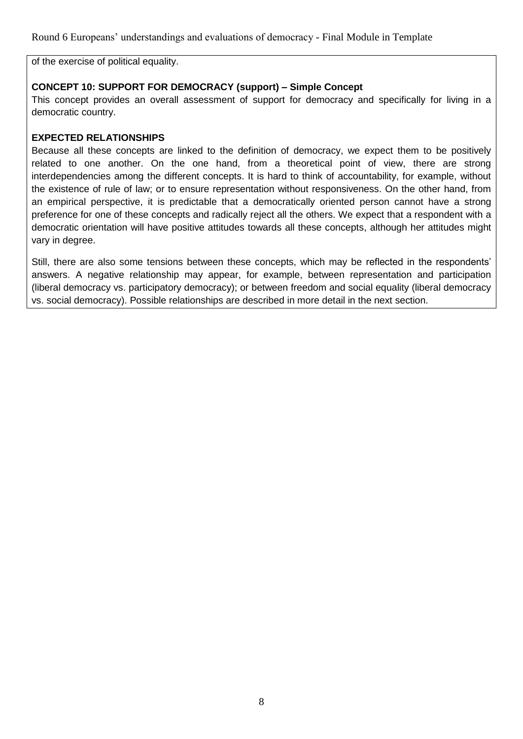of the exercise of political equality.

## **CONCEPT 10: SUPPORT FOR DEMOCRACY (support) – Simple Concept**

This concept provides an overall assessment of support for democracy and specifically for living in a democratic country.

#### **EXPECTED RELATIONSHIPS**

Because all these concepts are linked to the definition of democracy, we expect them to be positively related to one another. On the one hand, from a theoretical point of view, there are strong interdependencies among the different concepts. It is hard to think of accountability, for example, without the existence of rule of law; or to ensure representation without responsiveness. On the other hand, from an empirical perspective, it is predictable that a democratically oriented person cannot have a strong preference for one of these concepts and radically reject all the others. We expect that a respondent with a democratic orientation will have positive attitudes towards all these concepts, although her attitudes might vary in degree.

Still, there are also some tensions between these concepts, which may be reflected in the respondents' answers. A negative relationship may appear, for example, between representation and participation (liberal democracy vs. participatory democracy); or between freedom and social equality (liberal democracy vs. social democracy). Possible relationships are described in more detail in the next section.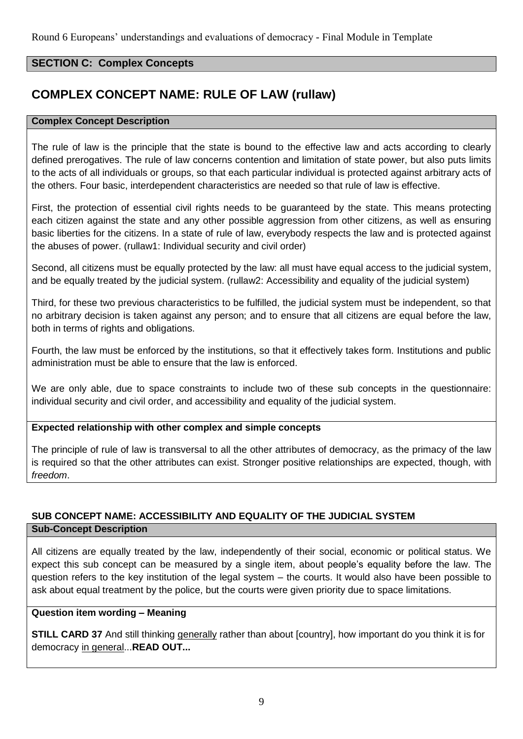# **SECTION C: Complex Concepts**

# **COMPLEX CONCEPT NAME: RULE OF LAW (rullaw)**

#### **Complex Concept Description**

The rule of law is the principle that the state is bound to the effective law and acts according to clearly defined prerogatives. The rule of law concerns contention and limitation of state power, but also puts limits to the acts of all individuals or groups, so that each particular individual is protected against arbitrary acts of the others. Four basic, interdependent characteristics are needed so that rule of law is effective.

First, the protection of essential civil rights needs to be guaranteed by the state. This means protecting each citizen against the state and any other possible aggression from other citizens, as well as ensuring basic liberties for the citizens. In a state of rule of law, everybody respects the law and is protected against the abuses of power. (rullaw1: Individual security and civil order)

Second, all citizens must be equally protected by the law: all must have equal access to the judicial system, and be equally treated by the judicial system. (rullaw2: Accessibility and equality of the judicial system)

Third, for these two previous characteristics to be fulfilled, the judicial system must be independent, so that no arbitrary decision is taken against any person; and to ensure that all citizens are equal before the law, both in terms of rights and obligations.

Fourth, the law must be enforced by the institutions, so that it effectively takes form. Institutions and public administration must be able to ensure that the law is enforced.

We are only able, due to space constraints to include two of these sub concepts in the questionnaire: individual security and civil order, and accessibility and equality of the judicial system.

## **Expected relationship with other complex and simple concepts**

The principle of rule of law is transversal to all the other attributes of democracy, as the primacy of the law is required so that the other attributes can exist. Stronger positive relationships are expected, though, with *freedom*.

# **SUB CONCEPT NAME: ACCESSIBILITY AND EQUALITY OF THE JUDICIAL SYSTEM Sub-Concept Description**

All citizens are equally treated by the law, independently of their social, economic or political status. We expect this sub concept can be measured by a single item, about people's equality before the law. The question refers to the key institution of the legal system – the courts. It would also have been possible to ask about equal treatment by the police, but the courts were given priority due to space limitations.

#### **Question item wording – Meaning**

**STILL CARD 37** And still thinking generally rather than about [country], how important do you think it is for democracy in general...**READ OUT...**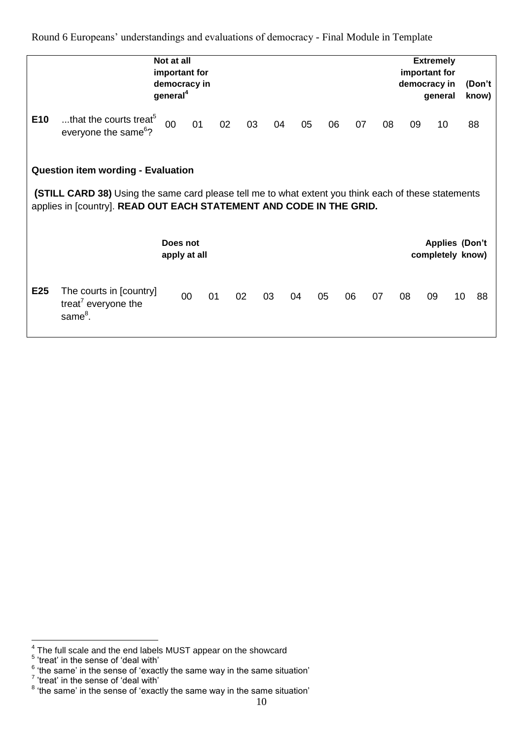|                 |                                                                                                                                                                                                                          | Not at all<br>important for<br>democracy in<br>general <sup>4</sup> |    |    |    |    |    |    |    |    |    | <b>Extremely</b><br>important for<br>democracy in<br>general |    | (Don't<br>know) |
|-----------------|--------------------------------------------------------------------------------------------------------------------------------------------------------------------------------------------------------------------------|---------------------------------------------------------------------|----|----|----|----|----|----|----|----|----|--------------------------------------------------------------|----|-----------------|
| E <sub>10</sub> | that the courts treat <sup>5</sup><br>everyone the same <sup>6</sup> ?                                                                                                                                                   | 00                                                                  | 01 | 02 | 03 | 04 | 05 | 06 | 07 | 08 | 09 | 10                                                           |    | 88              |
|                 | <b>Question item wording - Evaluation</b><br>(STILL CARD 38) Using the same card please tell me to what extent you think each of these statements<br>applies in [country]. READ OUT EACH STATEMENT AND CODE IN THE GRID. |                                                                     |    |    |    |    |    |    |    |    |    |                                                              |    |                 |
|                 |                                                                                                                                                                                                                          | Does not<br>apply at all                                            |    |    |    |    |    |    |    |    |    | <b>Applies (Don't</b><br>completely know)                    |    |                 |
| E25             | The courts in [country]<br>treat <sup>7</sup> everyone the<br>same <sup>8</sup> .                                                                                                                                        |                                                                     | 00 | 01 | 02 | 03 | 04 | 05 | 06 | 07 | 08 | 09                                                           | 10 | 88              |

<sup>&</sup>lt;sup>4</sup><br><sup>5</sup> The full scale and the end labels MUST appear on the showcard<br><sup>5</sup> 'treat' in the sense of 'deal with'<br><sup>6</sup> 'the same' in the sense of 'exactly the same way in the same situation'<br><sup>7</sup> 'treat' in the sense of 'deal w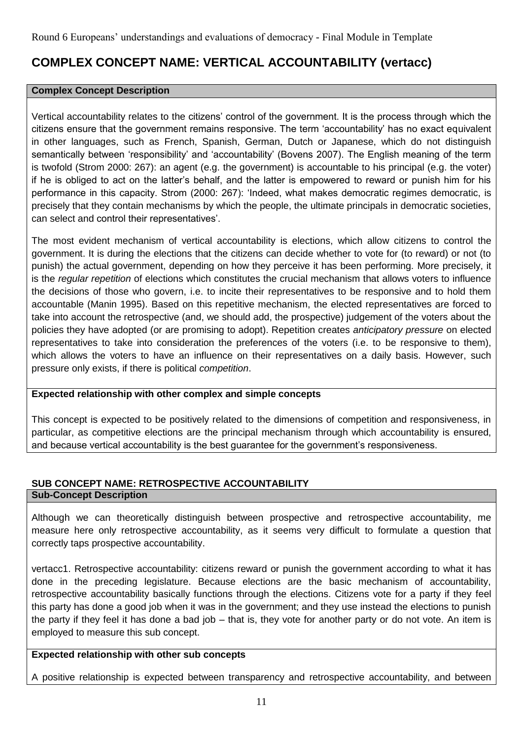# **COMPLEX CONCEPT NAME: VERTICAL ACCOUNTABILITY (vertacc)**

#### **Complex Concept Description**

Vertical accountability relates to the citizens' control of the government. It is the process through which the citizens ensure that the government remains responsive. The term 'accountability' has no exact equivalent in other languages, such as French, Spanish, German, Dutch or Japanese, which do not distinguish semantically between 'responsibility' and 'accountability' (Bovens 2007). The English meaning of the term is twofold (Strom 2000: 267): an agent (e.g. the government) is accountable to his principal (e.g. the voter) if he is obliged to act on the latter's behalf, and the latter is empowered to reward or punish him for his performance in this capacity. Strom (2000: 267): 'Indeed, what makes democratic regimes democratic, is precisely that they contain mechanisms by which the people, the ultimate principals in democratic societies, can select and control their representatives'.

The most evident mechanism of vertical accountability is elections, which allow citizens to control the government. It is during the elections that the citizens can decide whether to vote for (to reward) or not (to punish) the actual government, depending on how they perceive it has been performing. More precisely, it is the *regular repetition* of elections which constitutes the crucial mechanism that allows voters to influence the decisions of those who govern, i.e. to incite their representatives to be responsive and to hold them accountable (Manin 1995). Based on this repetitive mechanism, the elected representatives are forced to take into account the retrospective (and, we should add, the prospective) judgement of the voters about the policies they have adopted (or are promising to adopt). Repetition creates *anticipatory pressure* on elected representatives to take into consideration the preferences of the voters (i.e. to be responsive to them), which allows the voters to have an influence on their representatives on a daily basis. However, such pressure only exists, if there is political *competition*.

#### **Expected relationship with other complex and simple concepts**

This concept is expected to be positively related to the dimensions of competition and responsiveness, in particular, as competitive elections are the principal mechanism through which accountability is ensured, and because vertical accountability is the best guarantee for the government's responsiveness.

#### **SUB CONCEPT NAME: RETROSPECTIVE ACCOUNTABILITY Sub-Concept Description**

Although we can theoretically distinguish between prospective and retrospective accountability, me measure here only retrospective accountability, as it seems very difficult to formulate a question that correctly taps prospective accountability.

vertacc1. Retrospective accountability: citizens reward or punish the government according to what it has done in the preceding legislature. Because elections are the basic mechanism of accountability, retrospective accountability basically functions through the elections. Citizens vote for a party if they feel this party has done a good job when it was in the government; and they use instead the elections to punish the party if they feel it has done a bad job – that is, they vote for another party or do not vote. An item is employed to measure this sub concept.

# **Expected relationship with other sub concepts**

A positive relationship is expected between transparency and retrospective accountability, and between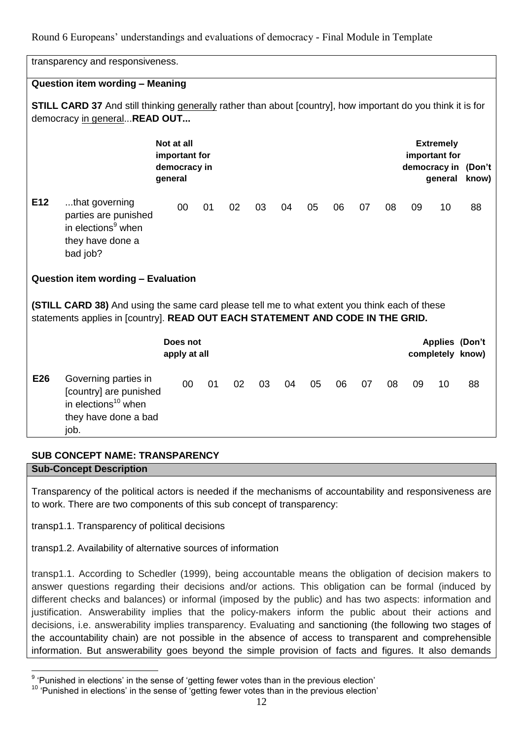|     | transparency and responsiveness.                                                                                                                                                |                                                        |    |    |    |    |    |    |    |    |    |                                              |                              |
|-----|---------------------------------------------------------------------------------------------------------------------------------------------------------------------------------|--------------------------------------------------------|----|----|----|----|----|----|----|----|----|----------------------------------------------|------------------------------|
|     | Question item wording - Meaning                                                                                                                                                 |                                                        |    |    |    |    |    |    |    |    |    |                                              |                              |
|     | <b>STILL CARD 37</b> And still thinking generally rather than about [country], how important do you think it is for<br>democracy in generalREAD OUT                             |                                                        |    |    |    |    |    |    |    |    |    |                                              |                              |
|     |                                                                                                                                                                                 | Not at all<br>important for<br>democracy in<br>general |    |    |    |    |    |    |    |    |    | <b>Extremely</b><br>important for<br>general | democracy in (Don't<br>know) |
| E12 | that governing<br>parties are punished<br>in elections <sup>9</sup> when<br>they have done a<br>bad job?                                                                        | 00                                                     | 01 | 02 | 03 | 04 | 05 | 06 | 07 | 08 | 09 | 10                                           | 88                           |
|     | Question item wording - Evaluation                                                                                                                                              |                                                        |    |    |    |    |    |    |    |    |    |                                              |                              |
|     | (STILL CARD 38) And using the same card please tell me to what extent you think each of these<br>statements applies in [country]. READ OUT EACH STATEMENT AND CODE IN THE GRID. |                                                        |    |    |    |    |    |    |    |    |    |                                              |                              |
|     |                                                                                                                                                                                 | Does not<br>apply at all                               |    |    |    |    |    |    |    |    |    | Applies (Don't<br>completely know)           |                              |
| E26 | Governing parties in<br>[country] are punished<br>in elections <sup>10</sup> when<br>they have done a bad<br>job.                                                               | 00                                                     | 01 | 02 | 03 | 04 | 05 | 06 | 07 | 08 | 09 | 10                                           | 88                           |

# **SUB CONCEPT NAME: TRANSPARENCY**

**Sub-Concept Description**

Transparency of the political actors is needed if the mechanisms of accountability and responsiveness are to work. There are two components of this sub concept of transparency:

transp1.1. Transparency of political decisions

transp1.2. Availability of alternative sources of information

transp1.1. According to Schedler (1999), being accountable means the obligation of decision makers to answer questions regarding their decisions and/or actions. This obligation can be formal (induced by different checks and balances) or informal (imposed by the public) and has two aspects: information and justification. Answerability implies that the policy-makers inform the public about their actions and decisions, i.e. answerability implies transparency. Evaluating and sanctioning (the following two stages of the accountability chain) are not possible in the absence of access to transparent and comprehensible information. But answerability goes beyond the simple provision of facts and figures. It also demands

 9 'Punished in elections' in the sense of 'getting fewer votes than in the previous election'

 $10$  'Punished in elections' in the sense of 'getting fewer votes than in the previous election'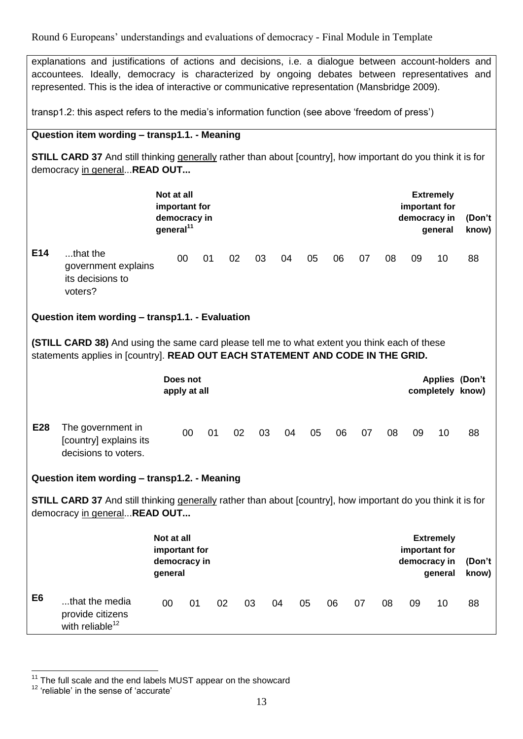explanations and justifications of actions and decisions, i.e. a dialogue between account-holders and accountees. Ideally, democracy is characterized by ongoing debates between representatives and represented. This is the idea of interactive or communicative representation (Mansbridge 2009).

transp1.2: this aspect refers to the media's information function (see above 'freedom of press')

#### **Question item wording – transp1.1. - Meaning**

**STILL CARD 37** And still thinking generally rather than about [country], how important do you think it is for democracy in general...**READ OUT...**

|                |                                                                                                                                                                                 | Not at all<br>important for<br>democracy in<br>general <sup>11</sup> |                          |    |    |    |    |    |    |    |    |    | <b>Extremely</b><br>important for<br>democracy in<br>general | (Don't<br>know)                    |
|----------------|---------------------------------------------------------------------------------------------------------------------------------------------------------------------------------|----------------------------------------------------------------------|--------------------------|----|----|----|----|----|----|----|----|----|--------------------------------------------------------------|------------------------------------|
| E14            | that the<br>government explains<br>its decisions to<br>voters?                                                                                                                  |                                                                      | 00                       | 01 | 02 | 03 | 04 | 05 | 06 | 07 | 08 | 09 | 10                                                           | 88                                 |
|                | Question item wording - transp1.1. - Evaluation                                                                                                                                 |                                                                      |                          |    |    |    |    |    |    |    |    |    |                                                              |                                    |
|                | (STILL CARD 38) And using the same card please tell me to what extent you think each of these<br>statements applies in [country]. READ OUT EACH STATEMENT AND CODE IN THE GRID. |                                                                      |                          |    |    |    |    |    |    |    |    |    |                                                              |                                    |
|                |                                                                                                                                                                                 |                                                                      | Does not<br>apply at all |    |    |    |    |    |    |    |    |    |                                                              | Applies (Don't<br>completely know) |
| E28            | The government in<br>[country] explains its<br>decisions to voters.                                                                                                             |                                                                      | 00                       | 01 | 02 | 03 | 04 | 05 | 06 | 07 | 08 | 09 | 10                                                           | 88                                 |
|                | Question item wording - transp1.2. - Meaning                                                                                                                                    |                                                                      |                          |    |    |    |    |    |    |    |    |    |                                                              |                                    |
|                | <b>STILL CARD 37</b> And still thinking generally rather than about [country], how important do you think it is for<br>democracy in generalREAD OUT                             |                                                                      |                          |    |    |    |    |    |    |    |    |    |                                                              |                                    |
|                |                                                                                                                                                                                 | Not at all<br>important for<br>democracy in<br>general               |                          |    |    |    |    |    |    |    |    |    | <b>Extremely</b><br>important for<br>democracy in<br>general | (Don't<br>know)                    |
| E <sub>6</sub> | that the media<br>provide citizens<br>with reliable <sup>12</sup>                                                                                                               | 00                                                                   | 01                       | 02 |    | 03 | 04 | 05 | 06 | 07 | 08 | 09 | 10                                                           | 88                                 |

<sup>&</sup>lt;u>.</u>  $11$  The full scale and the end labels MUST appear on the showcard

<sup>12</sup> 'reliable' in the sense of 'accurate'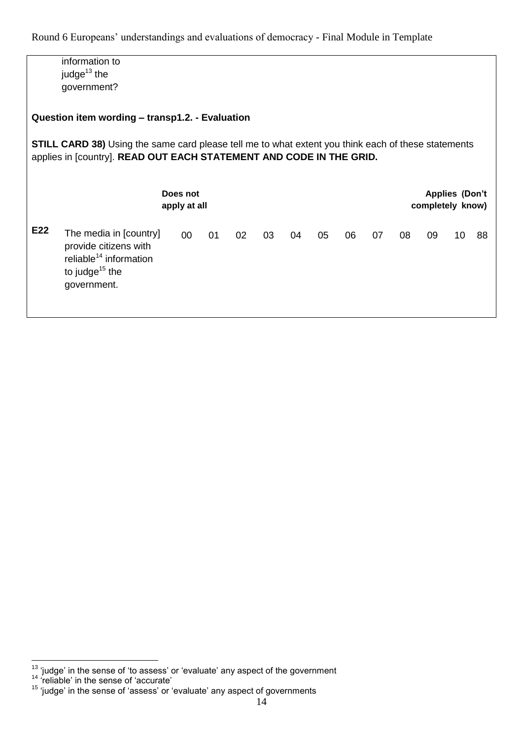information to judge $13$  the government? **Question item wording – transp1.2. - Evaluation STILL CARD 38)** Using the same card please tell me to what extent you think each of these statements applies in [country]. **READ OUT EACH STATEMENT AND CODE IN THE GRID. Does not apply at all Applies (Don't completely know) E22** The media in [country] provide citizens with  $reliable<sup>14</sup>$  information to judge $15$  the government. 00 01 02 03 04 05 06 07 08 09 10 88

<u>.</u>

 $13$  'judge' in the sense of 'to assess' or 'evaluate' any aspect of the government

<sup>&</sup>lt;sup>14</sup> 'reliable' in the sense of 'accurate'

<sup>&</sup>lt;sup>15</sup> 'judge' in the sense of 'assess' or 'evaluate' any aspect of governments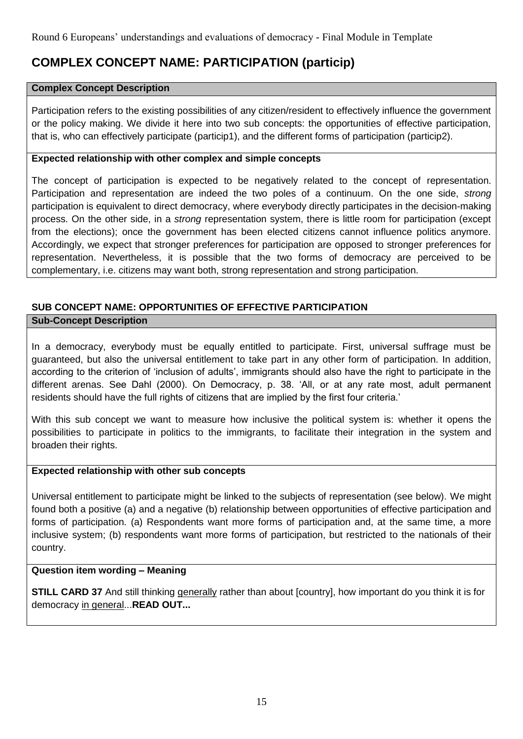# **COMPLEX CONCEPT NAME: PARTICIPATION (particip)**

#### **Complex Concept Description**

Participation refers to the existing possibilities of any citizen/resident to effectively influence the government or the policy making. We divide it here into two sub concepts: the opportunities of effective participation, that is, who can effectively participate (particip1), and the different forms of participation (particip2).

#### **Expected relationship with other complex and simple concepts**

The concept of participation is expected to be negatively related to the concept of representation. Participation and representation are indeed the two poles of a continuum. On the one side, *strong* participation is equivalent to direct democracy, where everybody directly participates in the decision-making process. On the other side, in a *strong* representation system, there is little room for participation (except from the elections); once the government has been elected citizens cannot influence politics anymore. Accordingly, we expect that stronger preferences for participation are opposed to stronger preferences for representation. Nevertheless, it is possible that the two forms of democracy are perceived to be complementary, i.e. citizens may want both, strong representation and strong participation.

# **SUB CONCEPT NAME: OPPORTUNITIES OF EFFECTIVE PARTICIPATION**

#### **Sub-Concept Description**

In a democracy, everybody must be equally entitled to participate. First, universal suffrage must be guaranteed, but also the universal entitlement to take part in any other form of participation. In addition, according to the criterion of 'inclusion of adults', immigrants should also have the right to participate in the different arenas. See Dahl (2000). On Democracy, p. 38. 'All, or at any rate most, adult permanent residents should have the full rights of citizens that are implied by the first four criteria.'

With this sub concept we want to measure how inclusive the political system is: whether it opens the possibilities to participate in politics to the immigrants, to facilitate their integration in the system and broaden their rights.

#### **Expected relationship with other sub concepts**

Universal entitlement to participate might be linked to the subjects of representation (see below). We might found both a positive (a) and a negative (b) relationship between opportunities of effective participation and forms of participation. (a) Respondents want more forms of participation and, at the same time, a more inclusive system; (b) respondents want more forms of participation, but restricted to the nationals of their country.

#### **Question item wording – Meaning**

**STILL CARD 37** And still thinking generally rather than about [country], how important do you think it is for democracy in general...**READ OUT...**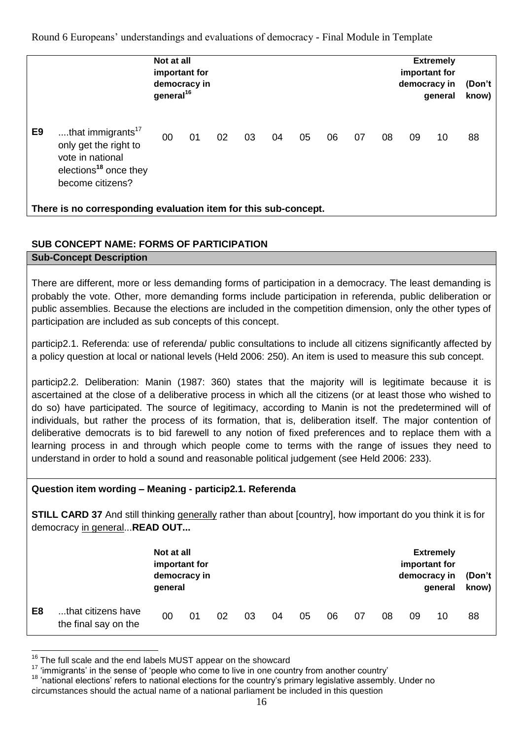|                |                                                                                                                                     | Not at all<br>important for<br>democracy in<br>general <sup>16</sup> |    |    |    |    |    |    |    |    | important for<br>democracy in | <b>Extremely</b><br>general | (Don't<br>know) |
|----------------|-------------------------------------------------------------------------------------------------------------------------------------|----------------------------------------------------------------------|----|----|----|----|----|----|----|----|-------------------------------|-----------------------------|-----------------|
| E <sub>9</sub> | that immigrants <sup>17</sup><br>only get the right to<br>vote in national<br>elections <sup>18</sup> once they<br>become citizens? | 00                                                                   | 01 | 02 | 03 | 04 | 05 | 06 | 07 | 08 | 09                            | 10                          | 88              |
|                | There is no corresponding evaluation item for this sub-concept.                                                                     |                                                                      |    |    |    |    |    |    |    |    |                               |                             |                 |

# **SUB CONCEPT NAME: FORMS OF PARTICIPATION**

# **Sub-Concept Description**

There are different, more or less demanding forms of participation in a democracy. The least demanding is probably the vote. Other, more demanding forms include participation in referenda, public deliberation or public assemblies. Because the elections are included in the competition dimension, only the other types of participation are included as sub concepts of this concept.

particip2.1. Referenda: use of referenda/ public consultations to include all citizens significantly affected by a policy question at local or national levels (Held 2006: 250). An item is used to measure this sub concept.

particip2.2. Deliberation: Manin (1987: 360) states that the majority will is legitimate because it is ascertained at the close of a deliberative process in which all the citizens (or at least those who wished to do so) have participated. The source of legitimacy, according to Manin is not the predetermined will of individuals, but rather the process of its formation, that is, deliberation itself. The major contention of deliberative democrats is to bid farewell to any notion of fixed preferences and to replace them with a learning process in and through which people come to terms with the range of issues they need to understand in order to hold a sound and reasonable political judgement (see Held 2006: 233).

# **Question item wording – Meaning - particip2.1. Referenda**

**STILL CARD 37** And still thinking generally rather than about [country], how important do you think it is for democracy in general...**READ OUT...**

|                |                                            | Not at all<br>important for<br>democracy in<br>general |    |    |    |    |    |    |    |    | important for | <b>Extremely</b><br>democracy in<br>general | (Don't<br>know) |
|----------------|--------------------------------------------|--------------------------------------------------------|----|----|----|----|----|----|----|----|---------------|---------------------------------------------|-----------------|
| E <sub>8</sub> | that citizens have<br>the final say on the | 00                                                     | 01 | 02 | 03 | 04 | 05 | 06 | 07 | 08 | 09            | 10                                          | 88              |

<sup>1</sup>  $16$  The full scale and the end labels MUST appear on the showcard

 $17$  'immigrants' in the sense of 'people who come to live in one country from another country'

<sup>&</sup>lt;sup>18</sup> 'national elections' refers to national elections for the country's primary legislative assembly. Under no circumstances should the actual name of a national parliament be included in this question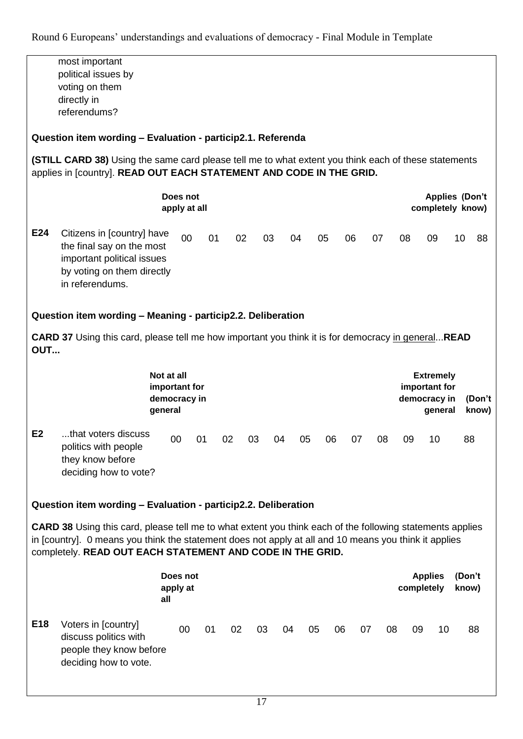|     | most important                                                                                                                                                                                                                                                                         |                               |    |    |    |    |    |    |    |          |    |            |                                           |                 |        |
|-----|----------------------------------------------------------------------------------------------------------------------------------------------------------------------------------------------------------------------------------------------------------------------------------------|-------------------------------|----|----|----|----|----|----|----|----------|----|------------|-------------------------------------------|-----------------|--------|
|     | political issues by                                                                                                                                                                                                                                                                    |                               |    |    |    |    |    |    |    |          |    |            |                                           |                 |        |
|     | voting on them                                                                                                                                                                                                                                                                         |                               |    |    |    |    |    |    |    |          |    |            |                                           |                 |        |
|     | directly in                                                                                                                                                                                                                                                                            |                               |    |    |    |    |    |    |    |          |    |            |                                           |                 |        |
|     | referendums?                                                                                                                                                                                                                                                                           |                               |    |    |    |    |    |    |    |          |    |            |                                           |                 |        |
|     | Question item wording - Evaluation - particip2.1. Referenda                                                                                                                                                                                                                            |                               |    |    |    |    |    |    |    |          |    |            |                                           |                 |        |
|     | (STILL CARD 38) Using the same card please tell me to what extent you think each of these statements<br>applies in [country]. READ OUT EACH STATEMENT AND CODE IN THE GRID.                                                                                                            |                               |    |    |    |    |    |    |    |          |    |            |                                           |                 |        |
|     |                                                                                                                                                                                                                                                                                        | Does not<br>apply at all      |    |    |    |    |    |    |    |          |    |            | <b>Applies (Don't</b><br>completely know) |                 |        |
|     |                                                                                                                                                                                                                                                                                        |                               |    |    |    |    |    |    |    |          |    |            |                                           |                 |        |
| E24 | Citizens in [country] have<br>the final say on the most<br>important political issues<br>by voting on them directly<br>in referendums.                                                                                                                                                 |                               | 00 | 01 | 02 | 03 |    | 04 | 05 | 06       | 07 | 08         | 09                                        | 10              | 88     |
|     | Question item wording - Meaning - particip2.2. Deliberation                                                                                                                                                                                                                            |                               |    |    |    |    |    |    |    |          |    |            |                                           |                 |        |
| OUT | <b>CARD 37</b> Using this card, please tell me how important you think it is for democracy in generalREAD                                                                                                                                                                              |                               |    |    |    |    |    |    |    |          |    |            |                                           |                 |        |
|     |                                                                                                                                                                                                                                                                                        |                               |    |    |    |    |    |    |    |          |    |            |                                           |                 |        |
|     |                                                                                                                                                                                                                                                                                        |                               |    |    |    |    |    |    |    |          |    |            |                                           |                 |        |
|     |                                                                                                                                                                                                                                                                                        | Not at all                    |    |    |    |    |    |    |    |          |    |            | <b>Extremely</b>                          |                 |        |
|     |                                                                                                                                                                                                                                                                                        | important for<br>democracy in |    |    |    |    |    |    |    |          |    |            | important for<br>democracy in             |                 | (Don't |
|     |                                                                                                                                                                                                                                                                                        | general                       |    |    |    |    |    |    |    |          |    |            | general                                   |                 | know)  |
| E2  | that voters discuss<br>politics with people<br>they know before<br>deciding how to vote?                                                                                                                                                                                               | 00                            | 01 |    | 02 | 03 | 04 | 05 | 06 | 07       | 08 | 09         | 10                                        | 88              |        |
|     | Question item wording - Evaluation - particip2.2. Deliberation                                                                                                                                                                                                                         |                               |    |    |    |    |    |    |    |          |    |            |                                           |                 |        |
|     | <b>CARD 38</b> Using this card, please tell me to what extent you think each of the following statements applies<br>in [country]. 0 means you think the statement does not apply at all and 10 means you think it applies<br>completely. READ OUT EACH STATEMENT AND CODE IN THE GRID. |                               |    |    |    |    |    |    |    |          |    |            |                                           |                 |        |
|     |                                                                                                                                                                                                                                                                                        | Does not<br>apply at<br>all   |    |    |    |    |    |    |    |          |    | completely | <b>Applies</b>                            | (Don't<br>know) |        |
| E18 | Voters in [country]<br>discuss politics with<br>people they know before<br>deciding how to vote.                                                                                                                                                                                       | 00                            |    | 01 | 02 | 03 | 04 | 05 |    | 07<br>06 | 08 | 09         | 10                                        |                 | 88     |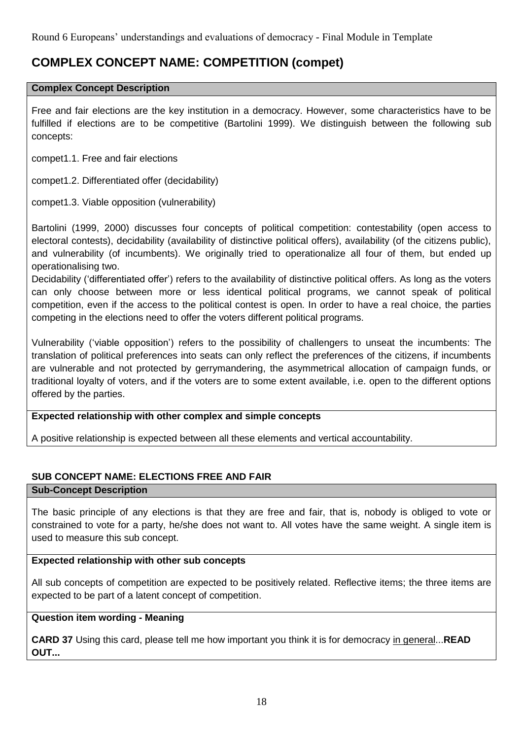# **COMPLEX CONCEPT NAME: COMPETITION (compet)**

#### **Complex Concept Description**

Free and fair elections are the key institution in a democracy. However, some characteristics have to be fulfilled if elections are to be competitive (Bartolini 1999). We distinguish between the following sub concepts:

compet1.1. Free and fair elections

compet1.2. Differentiated offer (decidability)

compet1.3. Viable opposition (vulnerability)

Bartolini (1999, 2000) discusses four concepts of political competition: contestability (open access to electoral contests), decidability (availability of distinctive political offers), availability (of the citizens public), and vulnerability (of incumbents). We originally tried to operationalize all four of them, but ended up operationalising two.

Decidability ('differentiated offer') refers to the availability of distinctive political offers. As long as the voters can only choose between more or less identical political programs, we cannot speak of political competition, even if the access to the political contest is open. In order to have a real choice, the parties competing in the elections need to offer the voters different political programs.

Vulnerability ('viable opposition') refers to the possibility of challengers to unseat the incumbents: The translation of political preferences into seats can only reflect the preferences of the citizens, if incumbents are vulnerable and not protected by gerrymandering, the asymmetrical allocation of campaign funds, or traditional loyalty of voters, and if the voters are to some extent available, i.e. open to the different options offered by the parties.

#### **Expected relationship with other complex and simple concepts**

A positive relationship is expected between all these elements and vertical accountability.

# **SUB CONCEPT NAME: ELECTIONS FREE AND FAIR**

#### **Sub-Concept Description**

The basic principle of any elections is that they are free and fair, that is, nobody is obliged to vote or constrained to vote for a party, he/she does not want to. All votes have the same weight. A single item is used to measure this sub concept.

#### **Expected relationship with other sub concepts**

All sub concepts of competition are expected to be positively related. Reflective items; the three items are expected to be part of a latent concept of competition.

#### **Question item wording - Meaning**

**CARD 37** Using this card, please tell me how important you think it is for democracy in general...**READ OUT...**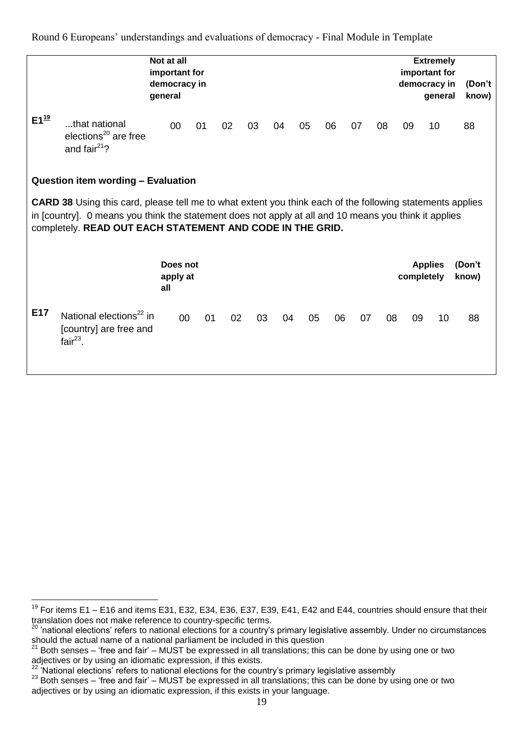|                     |                                                                                                                                                                                                                                                                                        | Not at all<br>important for<br>democracy in<br>general |    |    |    |    |    |    |    |    |            | <b>Extremely</b><br>important for<br>democracy in<br>general | (Don't<br>know) |
|---------------------|----------------------------------------------------------------------------------------------------------------------------------------------------------------------------------------------------------------------------------------------------------------------------------------|--------------------------------------------------------|----|----|----|----|----|----|----|----|------------|--------------------------------------------------------------|-----------------|
| $E1^{\frac{19}{2}}$ | that national<br>elections $^{20}$ are free<br>and fair <sup>21</sup> ?                                                                                                                                                                                                                | 00                                                     | 01 | 02 | 03 | 04 | 05 | 06 | 07 | 08 | 09         | 10                                                           | 88              |
|                     | Question item wording - Evaluation                                                                                                                                                                                                                                                     |                                                        |    |    |    |    |    |    |    |    |            |                                                              |                 |
|                     | <b>CARD 38</b> Using this card, please tell me to what extent you think each of the following statements applies<br>in [country]. 0 means you think the statement does not apply at all and 10 means you think it applies<br>completely. READ OUT EACH STATEMENT AND CODE IN THE GRID. |                                                        |    |    |    |    |    |    |    |    |            |                                                              |                 |
|                     |                                                                                                                                                                                                                                                                                        | Does not<br>apply at<br>all                            |    |    |    |    |    |    |    |    | completely | <b>Applies</b>                                               | (Don't<br>know) |
| E17                 | National elections <sup>22</sup> in<br>[country] are free and<br>fair $^{23}$ .                                                                                                                                                                                                        | 00                                                     | 01 | 02 | 03 | 04 | 05 | 06 | 07 | 08 | 09         | 10                                                           | 88              |

<u>.</u>

 $19$  For items E1 – E16 and items E31, E32, E34, E36, E37, E39, E41, E42 and E44, countries should ensure that their translation does not make reference to country-specific terms.

<sup>&</sup>lt;sup>20</sup> 'national elections' refers to national elections for a country's primary legislative assembly. Under no circumstances should the actual name of a national parliament be included in this question<br><sup>21</sup> Both concepts that an interview this concept the same of the state of the state of the state of the state of

<sup>21</sup> Both senses – 'free and fair' – MUST be expressed in all translations; this can be done by using one or two adjectives or by using an idiomatic expression, if this exists.

 $22$  'National elections' refers to national elections for the country's primary legislative assembly

<sup>&</sup>lt;sup>23</sup> Both senses – 'free and fair' – MUST be expressed in all translations; this can be done by using one or two adjectives or by using an idiomatic expression, if this exists in your language.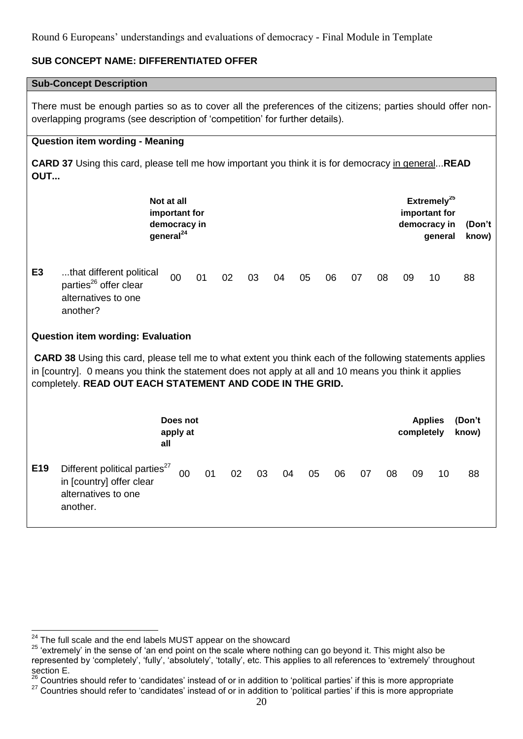## **SUB CONCEPT NAME: DIFFERENTIATED OFFER**

# **Sub-Concept Description**

There must be enough parties so as to cover all the preferences of the citizens; parties should offer nonoverlapping programs (see description of 'competition' for further details).

#### **Question item wording - Meaning**

**CARD 37** Using this card, please tell me how important you think it is for democracy in general...**READ OUT...**

|                |                                                                                                                                                                                                                                                                                        | Not at all<br>important for<br>democracy in<br>general <sup>24</sup> |                      |    |    |    |    |    |    |    |    |    | Extremely <sup>25</sup><br>important for<br>democracy in<br>general | (Don't<br>know) |
|----------------|----------------------------------------------------------------------------------------------------------------------------------------------------------------------------------------------------------------------------------------------------------------------------------------|----------------------------------------------------------------------|----------------------|----|----|----|----|----|----|----|----|----|---------------------------------------------------------------------|-----------------|
| E <sub>3</sub> | that different political<br>parties <sup>26</sup> offer clear<br>alternatives to one<br>another?                                                                                                                                                                                       |                                                                      | 00                   | 01 | 02 | 03 | 04 | 05 | 06 | 07 | 08 | 09 | 10                                                                  | 88              |
|                | <b>Question item wording: Evaluation</b>                                                                                                                                                                                                                                               |                                                                      |                      |    |    |    |    |    |    |    |    |    |                                                                     |                 |
|                | <b>CARD 38</b> Using this card, please tell me to what extent you think each of the following statements applies<br>in [country]. 0 means you think the statement does not apply at all and 10 means you think it applies<br>completely. READ OUT EACH STATEMENT AND CODE IN THE GRID. |                                                                      |                      |    |    |    |    |    |    |    |    |    |                                                                     |                 |
|                |                                                                                                                                                                                                                                                                                        | all                                                                  | Does not<br>apply at |    |    |    |    |    |    |    |    |    | <b>Applies</b><br>completely                                        | (Don't<br>know) |
| E19            | Different political parties <sup>27</sup><br>in [country] offer clear<br>alternatives to one<br>another.                                                                                                                                                                               |                                                                      | 00                   | 01 | 02 | 03 | 04 | 05 | 06 | 07 | 08 | 09 | 10                                                                  | 88              |

<sup>&</sup>lt;u>.</u>  $24$  The full scale and the end labels MUST appear on the showcard

<sup>&</sup>lt;sup>25</sup> 'extremely' in the sense of 'an end point on the scale where nothing can go beyond it. This might also be represented by 'completely', 'fully', 'absolutely', 'totally', etc. This applies to all references to 'extremely' throughout section E.

<sup>26</sup> Countries should refer to 'candidates' instead of or in addition to 'political parties' if this is more appropriate <sup>27</sup> Countries should refer to 'candidates' instead of or in addition to 'political parties' if this is more appropriate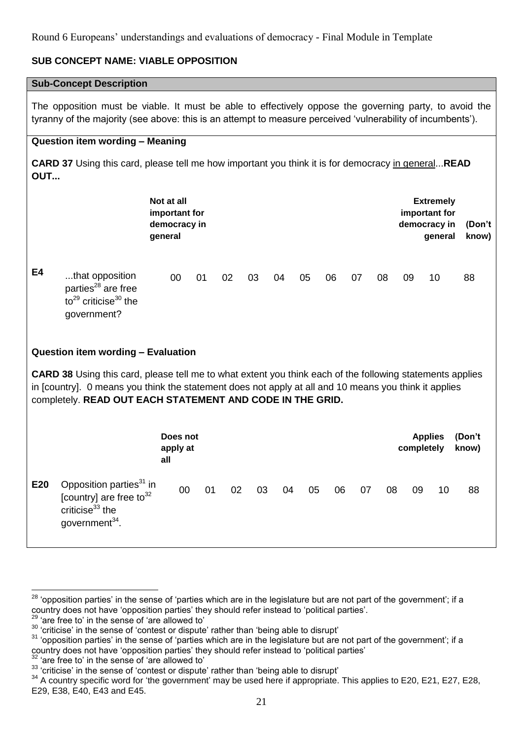# **SUB CONCEPT NAME: VIABLE OPPOSITION**

#### **Sub-Concept Description**

The opposition must be viable. It must be able to effectively oppose the governing party, to avoid the tyranny of the majority (see above: this is an attempt to measure perceived 'vulnerability of incumbents').

## **Question item wording – Meaning**

**CARD 37** Using this card, please tell me how important you think it is for democracy in general...**READ OUT...**

|     |                                                                                                                                                                                                                                                                                        | Not at all<br>important for<br>democracy in<br>general |    |    |    |    |    |    |    |    |            | <b>Extremely</b><br>important for<br>democracy in<br>general | (Don't<br>know) |
|-----|----------------------------------------------------------------------------------------------------------------------------------------------------------------------------------------------------------------------------------------------------------------------------------------|--------------------------------------------------------|----|----|----|----|----|----|----|----|------------|--------------------------------------------------------------|-----------------|
| E4  | that opposition<br>parties <sup>28</sup> are free<br>to <sup>29</sup> criticise <sup>30</sup> the<br>government?                                                                                                                                                                       | 00                                                     | 01 | 02 | 03 | 04 | 05 | 06 | 07 | 08 | 09         | 10                                                           | 88              |
|     | Question item wording - Evaluation                                                                                                                                                                                                                                                     |                                                        |    |    |    |    |    |    |    |    |            |                                                              |                 |
|     | <b>CARD 38</b> Using this card, please tell me to what extent you think each of the following statements applies<br>in [country]. 0 means you think the statement does not apply at all and 10 means you think it applies<br>completely. READ OUT EACH STATEMENT AND CODE IN THE GRID. |                                                        |    |    |    |    |    |    |    |    |            |                                                              |                 |
|     |                                                                                                                                                                                                                                                                                        | Does not<br>apply at<br>all                            |    |    |    |    |    |    |    |    | completely | <b>Applies</b>                                               | (Don't<br>know) |
| E20 | Opposition parties <sup>31</sup> in<br>[country] are free to <sup>32</sup><br>criticise $33$ the<br>government <sup>34</sup> .                                                                                                                                                         | 00                                                     | 01 | 02 | 03 | 04 | 05 | 06 | 07 | 08 | 09         | 10                                                           | 88              |

<sup>1</sup> <sup>28</sup> 'opposition parties' in the sense of 'parties which are in the legislature but are not part of the government'; if a country does not have 'opposition parties' they should refer instead to 'political parties'.

<sup>&#</sup>x27;are free to' in the sense of 'are allowed to'

<sup>&</sup>lt;sup>30</sup> 'criticise' in the sense of 'contest or dispute' rather than 'being able to disrupt'

<sup>&</sup>lt;sup>31</sup> 'opposition parties' in the sense of 'parties which are in the legislature but are not part of the government'; if a country does not have 'opposition parties' they should refer instead to 'political parties'

 $32$  'are free to' in the sense of 'are allowed to'

<sup>&</sup>lt;sup>33</sup> 'criticise' in the sense of 'contest or dispute' rather than 'being able to disrupt'

<sup>&</sup>lt;sup>34</sup> A country specific word for 'the government' may be used here if appropriate. This applies to E20, E21, E27, E28, E29, E38, E40, E43 and E45.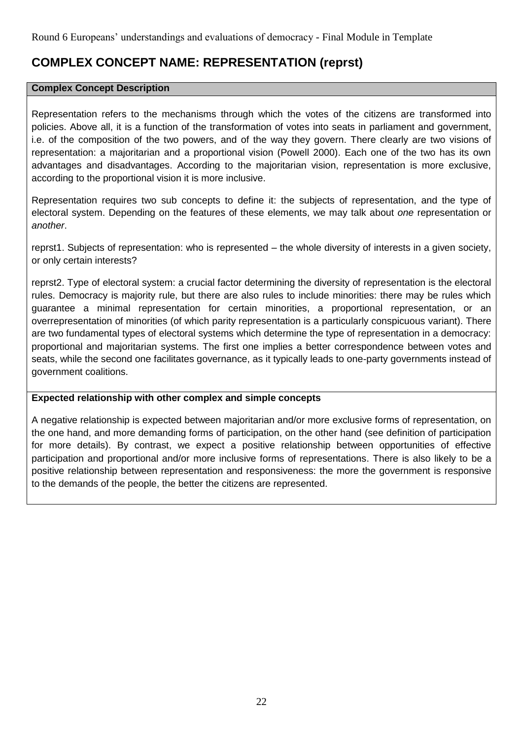# **COMPLEX CONCEPT NAME: REPRESENTATION (reprst)**

#### **Complex Concept Description**

Representation refers to the mechanisms through which the votes of the citizens are transformed into policies. Above all, it is a function of the transformation of votes into seats in parliament and government, i.e. of the composition of the two powers, and of the way they govern. There clearly are two visions of representation: a majoritarian and a proportional vision (Powell 2000). Each one of the two has its own advantages and disadvantages. According to the majoritarian vision, representation is more exclusive, according to the proportional vision it is more inclusive.

Representation requires two sub concepts to define it: the subjects of representation, and the type of electoral system. Depending on the features of these elements, we may talk about *one* representation or *another*.

reprst1. Subjects of representation: who is represented – the whole diversity of interests in a given society, or only certain interests?

reprst2. Type of electoral system: a crucial factor determining the diversity of representation is the electoral rules. Democracy is majority rule, but there are also rules to include minorities: there may be rules which guarantee a minimal representation for certain minorities, a proportional representation, or an overrepresentation of minorities (of which parity representation is a particularly conspicuous variant). There are two fundamental types of electoral systems which determine the type of representation in a democracy: proportional and majoritarian systems. The first one implies a better correspondence between votes and seats, while the second one facilitates governance, as it typically leads to one-party governments instead of government coalitions.

#### **Expected relationship with other complex and simple concepts**

A negative relationship is expected between majoritarian and/or more exclusive forms of representation, on the one hand, and more demanding forms of participation, on the other hand (see definition of participation for more details). By contrast, we expect a positive relationship between opportunities of effective participation and proportional and/or more inclusive forms of representations. There is also likely to be a positive relationship between representation and responsiveness: the more the government is responsive to the demands of the people, the better the citizens are represented.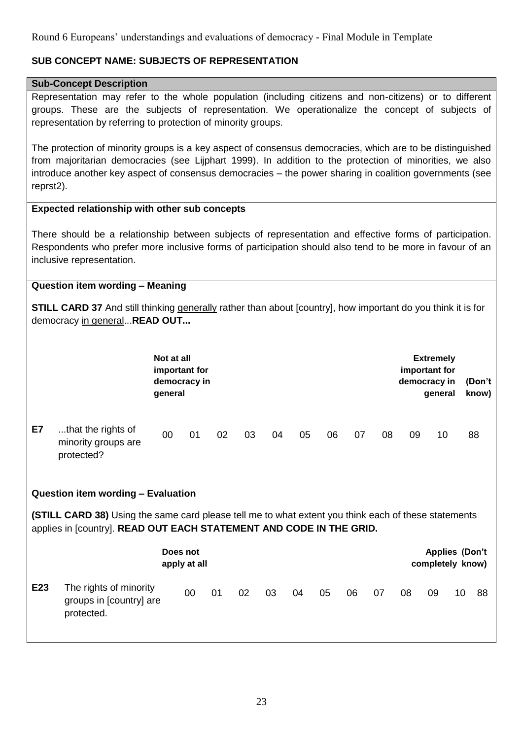# **SUB CONCEPT NAME: SUBJECTS OF REPRESENTATION**

#### **Sub-Concept Description**

Representation may refer to the whole population (including citizens and non-citizens) or to different groups. These are the subjects of representation. We operationalize the concept of subjects of representation by referring to protection of minority groups.

The protection of minority groups is a key aspect of consensus democracies, which are to be distinguished from majoritarian democracies (see Lijphart 1999). In addition to the protection of minorities, we also introduce another key aspect of consensus democracies – the power sharing in coalition governments (see reprst2).

#### **Expected relationship with other sub concepts**

There should be a relationship between subjects of representation and effective forms of participation. Respondents who prefer more inclusive forms of participation should also tend to be more in favour of an inclusive representation.

#### **Question item wording – Meaning**

**STILL CARD 37** And still thinking generally rather than about [country], how important do you think it is for democracy in general...**READ OUT...**

|    |                                                         | Not at all<br>important for<br>democracy in<br>general |    |    |    |    |    |    |    |    | important for<br>democracy in | <b>Extremely</b><br>general | (Don't<br>know) |
|----|---------------------------------------------------------|--------------------------------------------------------|----|----|----|----|----|----|----|----|-------------------------------|-----------------------------|-----------------|
| E7 | that the rights of<br>minority groups are<br>protected? | 00                                                     | 01 | 02 | 03 | 04 | 05 | 06 | 07 | 08 | 09                            | 10                          | 88              |

#### **Question item wording – Evaluation**

**(STILL CARD 38)** Using the same card please tell me to what extent you think each of these statements applies in [country]. **READ OUT EACH STATEMENT AND CODE IN THE GRID.**

|                 |                                                                 | Does not<br>apply at all |    |    |    |    |    |    |    |    | completely know) | <b>Applies (Don't</b> |    |
|-----------------|-----------------------------------------------------------------|--------------------------|----|----|----|----|----|----|----|----|------------------|-----------------------|----|
| E <sub>23</sub> | The rights of minority<br>groups in [country] are<br>protected. | 00                       | 01 | 02 | 03 | 04 | 05 | 06 | 07 | 08 | 09               | 10                    | 88 |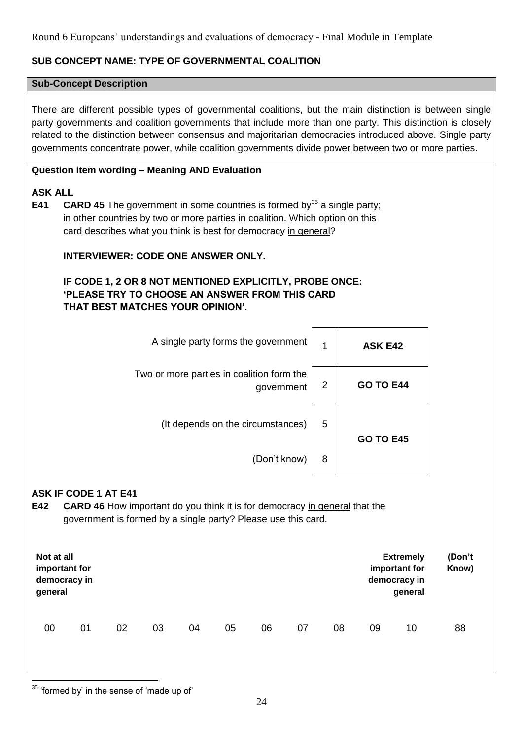# **SUB CONCEPT NAME: TYPE OF GOVERNMENTAL COALITION**

#### **Sub-Concept Description**

There are different possible types of governmental coalitions, but the main distinction is between single party governments and coalition governments that include more than one party. This distinction is closely related to the distinction between consensus and majoritarian democracies introduced above. Single party governments concentrate power, while coalition governments divide power between two or more parties.

# **Question item wording – Meaning AND Evaluation**

## **ASK ALL**

**E41 CARD 45** The government in some countries is formed by<sup>35</sup> a single party; in other countries by two or more parties in coalition. Which option on this card describes what you think is best for democracy in general?

# **INTERVIEWER: CODE ONE ANSWER ONLY.**

# **IF CODE 1, 2 OR 8 NOT MENTIONED EXPLICITLY, PROBE ONCE: 'PLEASE TRY TO CHOOSE AN ANSWER FROM THIS CARD THAT BEST MATCHES YOUR OPINION'.**

| A single party forms the government                                                                                                                                                      | 1              | <b>ASK E42</b>                    |
|------------------------------------------------------------------------------------------------------------------------------------------------------------------------------------------|----------------|-----------------------------------|
| Two or more parties in coalition form the<br>government                                                                                                                                  | $\overline{2}$ | <b>GO TO E44</b>                  |
| (It depends on the circumstances)                                                                                                                                                        | 5              | <b>GO TO E45</b>                  |
| (Don't know)                                                                                                                                                                             | 8              |                                   |
| <b>ASK IF CODE 1 AT E41</b><br><b>CARD 46</b> How important do you think it is for democracy in general that the<br>E42<br>government is formed by a single party? Please use this card. |                |                                   |
| Not at all<br>imnariani far                                                                                                                                                              |                | <b>Extremely</b><br>imnariani far |

| Not at all<br>important for<br>democracy in<br>general |    |    |    |    |    |    |    |    |    | <b>Extremely</b><br>important for<br>democracy in<br>general | (Don't<br>Know) |
|--------------------------------------------------------|----|----|----|----|----|----|----|----|----|--------------------------------------------------------------|-----------------|
| 00                                                     | 01 | 02 | 03 | 04 | 05 | 06 | 07 | 08 | 09 | 10                                                           | 88              |

<sup>1</sup>  $35$  'formed by' in the sense of 'made up of'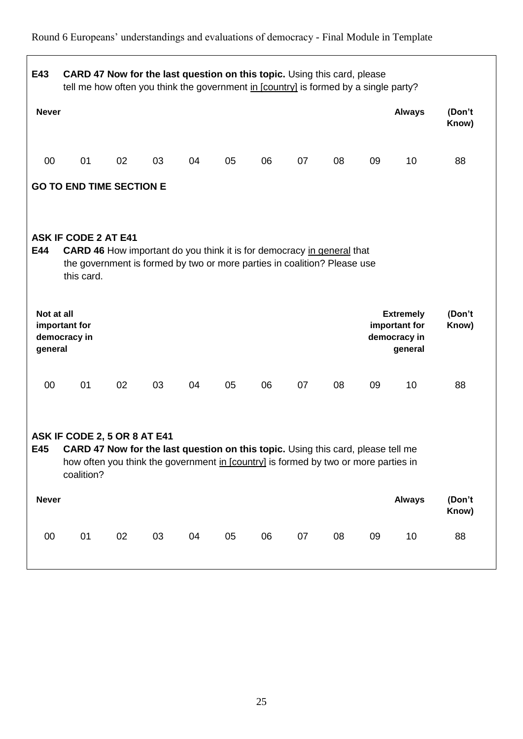# **E43 CARD 47 Now for the last question on this topic.** Using this card, please tell me how often you think the government in [country] is formed by a single party? **Never Always (Don't Know)** 00 01 02 03 04 05 06 07 08 09 10 88 **GO TO END TIME SECTION E ASK IF CODE 2 AT E41 E44 CARD 46** How important do you think it is for democracy in general that the government is formed by two or more parties in coalition? Please use this card. **Not at all important for democracy in general Extremely important for democracy in general (Don't Know)** 00 01 02 03 04 05 06 07 08 09 10 88 **ASK IF CODE 2, 5 OR 8 AT E41 E45 CARD 47 Now for the last question on this topic.** Using this card, please tell me how often you think the government in [country] is formed by two or more parties in coalition? **Never Always (Don't Know)** 00 01 02 03 04 05 06 07 08 09 10 88

# Round 6 Europeans' understandings and evaluations of democracy - Final Module in Template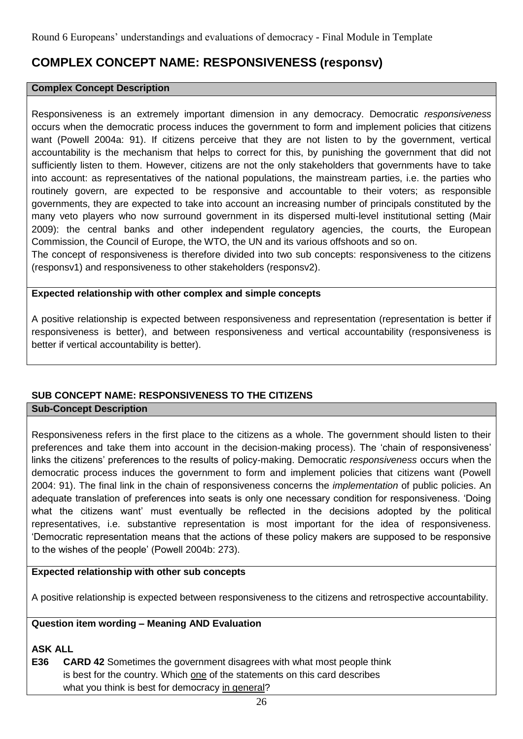# **COMPLEX CONCEPT NAME: RESPONSIVENESS (responsv)**

#### **Complex Concept Description**

Responsiveness is an extremely important dimension in any democracy. Democratic *responsiveness* occurs when the democratic process induces the government to form and implement policies that citizens want (Powell 2004a: 91). If citizens perceive that they are not listen to by the government, vertical accountability is the mechanism that helps to correct for this, by punishing the government that did not sufficiently listen to them. However, citizens are not the only stakeholders that governments have to take into account: as representatives of the national populations, the mainstream parties, i.e. the parties who routinely govern, are expected to be responsive and accountable to their voters; as responsible governments, they are expected to take into account an increasing number of principals constituted by the many veto players who now surround government in its dispersed multi-level institutional setting (Mair 2009): the central banks and other independent regulatory agencies, the courts, the European Commission, the Council of Europe, the WTO, the UN and its various offshoots and so on.

The concept of responsiveness is therefore divided into two sub concepts: responsiveness to the citizens (responsv1) and responsiveness to other stakeholders (responsv2).

#### **Expected relationship with other complex and simple concepts**

A positive relationship is expected between responsiveness and representation (representation is better if responsiveness is better), and between responsiveness and vertical accountability (responsiveness is better if vertical accountability is better).

# **SUB CONCEPT NAME: RESPONSIVENESS TO THE CITIZENS**

## **Sub-Concept Description**

Responsiveness refers in the first place to the citizens as a whole. The government should listen to their preferences and take them into account in the decision-making process). The 'chain of responsiveness' links the citizens' preferences to the results of policy-making. Democratic *responsiveness* occurs when the democratic process induces the government to form and implement policies that citizens want (Powell 2004: 91). The final link in the chain of responsiveness concerns the *implementation* of public policies. An adequate translation of preferences into seats is only one necessary condition for responsiveness. 'Doing what the citizens want' must eventually be reflected in the decisions adopted by the political representatives, i.e. substantive representation is most important for the idea of responsiveness. 'Democratic representation means that the actions of these policy makers are supposed to be responsive to the wishes of the people' (Powell 2004b: 273).

# **Expected relationship with other sub concepts**

A positive relationship is expected between responsiveness to the citizens and retrospective accountability.

# **Question item wording – Meaning AND Evaluation**

# **ASK ALL**

**E36 CARD 42** Sometimes the government disagrees with what most people think is best for the country. Which one of the statements on this card describes what you think is best for democracy in general?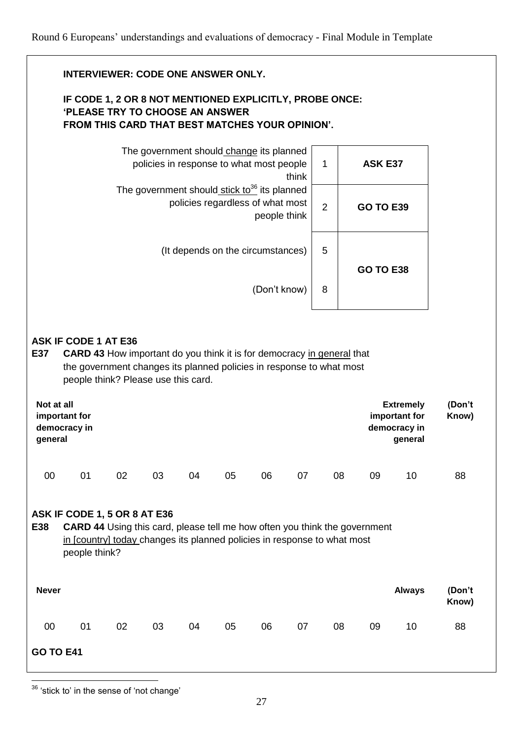|                       | <b>INTERVIEWER: CODE ONE ANSWER ONLY.</b>                                                                                                                                                                                   |    |                                                                                      |    |                                   |              |       |                |          |                                                              |                 |
|-----------------------|-----------------------------------------------------------------------------------------------------------------------------------------------------------------------------------------------------------------------------|----|--------------------------------------------------------------------------------------|----|-----------------------------------|--------------|-------|----------------|----------|--------------------------------------------------------------|-----------------|
|                       | IF CODE 1, 2 OR 8 NOT MENTIONED EXPLICITLY, PROBE ONCE:<br><b>'PLEASE TRY TO CHOOSE AN ANSWER</b><br>FROM THIS CARD THAT BEST MATCHES YOUR OPINION'.                                                                        |    |                                                                                      |    |                                   |              |       |                |          |                                                              |                 |
|                       |                                                                                                                                                                                                                             |    | The government should change its planned<br>policies in response to what most people |    |                                   |              | think | $\mathbf{1}$   |          | <b>ASK E37</b>                                               |                 |
|                       |                                                                                                                                                                                                                             |    | The government should stick to <sup>36</sup> its planned                             |    | policies regardless of what most  | people think |       | $\overline{2}$ |          | <b>GO TO E39</b>                                             |                 |
|                       |                                                                                                                                                                                                                             |    |                                                                                      |    | (It depends on the circumstances) |              |       | 5              |          | <b>GO TO E38</b>                                             |                 |
|                       |                                                                                                                                                                                                                             |    |                                                                                      |    |                                   | (Don't know) |       | 8              |          |                                                              |                 |
| E37                   | <b>ASK IF CODE 1 AT E36</b><br><b>CARD 43</b> How important do you think it is for democracy in general that<br>the government changes its planned policies in response to what most<br>people think? Please use this card. |    |                                                                                      |    |                                   |              |       |                |          |                                                              |                 |
| Not at all<br>general | important for<br>democracy in                                                                                                                                                                                               |    |                                                                                      |    |                                   |              |       |                |          | <b>Extremely</b><br>important for<br>democracy in<br>general | (Don't<br>Know) |
| 00                    | 01                                                                                                                                                                                                                          | 02 | 03                                                                                   | 04 | 05                                | 06           | 07    |                | 08<br>09 | 10                                                           | 88              |
| E38                   | ASK IF CODE 1, 5 OR 8 AT E36<br><b>CARD 44</b> Using this card, please tell me how often you think the government<br>in [country] today changes its planned policies in response to what most<br>people think?              |    |                                                                                      |    |                                   |              |       |                |          |                                                              |                 |
| <b>Never</b>          |                                                                                                                                                                                                                             |    |                                                                                      |    |                                   |              |       |                |          | <b>Always</b>                                                | (Don't<br>Know) |
| 00                    | 01                                                                                                                                                                                                                          | 02 | 03                                                                                   | 04 | 05                                | 06           | 07    |                | 08<br>09 | 10                                                           | 88              |
| <b>GO TO E41</b>      |                                                                                                                                                                                                                             |    |                                                                                      |    |                                   |              |       |                |          |                                                              |                 |

<sup>1</sup>  $36$  'stick to' in the sense of 'not change'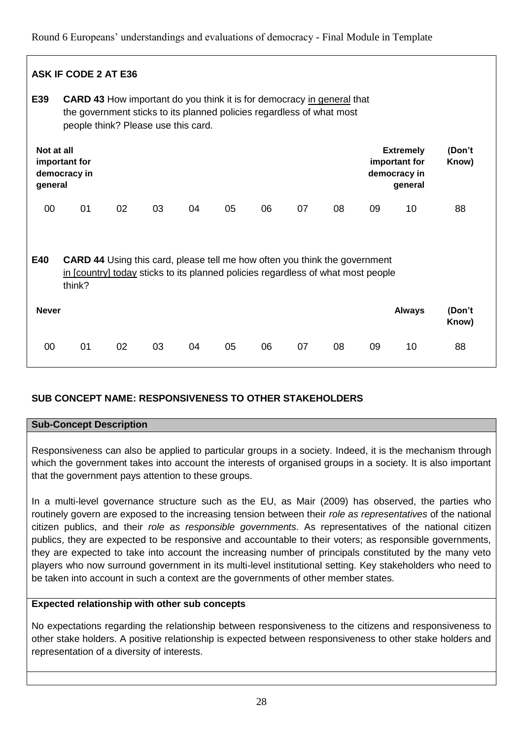|                       | <b>ASK IF CODE 2 AT E36</b>                                                                                                                                                                   |    |    |    |    |    |    |    |    |                                                              |                 |
|-----------------------|-----------------------------------------------------------------------------------------------------------------------------------------------------------------------------------------------|----|----|----|----|----|----|----|----|--------------------------------------------------------------|-----------------|
| E39                   | <b>CARD 43</b> How important do you think it is for democracy in general that<br>the government sticks to its planned policies regardless of what most<br>people think? Please use this card. |    |    |    |    |    |    |    |    |                                                              |                 |
| Not at all<br>general | important for<br>democracy in                                                                                                                                                                 |    |    |    |    |    |    |    |    | <b>Extremely</b><br>important for<br>democracy in<br>general | (Don't<br>Know) |
| $00\,$                | 01                                                                                                                                                                                            | 02 | 03 | 04 | 05 | 06 | 07 | 08 | 09 | 10                                                           | 88              |
| E40                   | <b>CARD 44</b> Using this card, please tell me how often you think the government<br>in [country] today sticks to its planned policies regardless of what most people<br>think?               |    |    |    |    |    |    |    |    |                                                              |                 |
| <b>Never</b>          |                                                                                                                                                                                               |    |    |    |    |    |    |    |    | <b>Always</b>                                                | (Don't<br>Know) |
| 00                    | 01                                                                                                                                                                                            | 02 | 03 | 04 | 05 | 06 | 07 | 08 | 09 | 10                                                           | 88              |

# **SUB CONCEPT NAME: RESPONSIVENESS TO OTHER STAKEHOLDERS**

# **Sub-Concept Description**

Responsiveness can also be applied to particular groups in a society. Indeed, it is the mechanism through which the government takes into account the interests of organised groups in a society. It is also important that the government pays attention to these groups.

In a multi-level governance structure such as the EU, as Mair (2009) has observed, the parties who routinely govern are exposed to the increasing tension between their *role as representatives* of the national citizen publics, and their *role as responsible governments*. As representatives of the national citizen publics, they are expected to be responsive and accountable to their voters; as responsible governments, they are expected to take into account the increasing number of principals constituted by the many veto players who now surround government in its multi-level institutional setting. Key stakeholders who need to be taken into account in such a context are the governments of other member states.

# **Expected relationship with other sub concepts**

No expectations regarding the relationship between responsiveness to the citizens and responsiveness to other stake holders. A positive relationship is expected between responsiveness to other stake holders and representation of a diversity of interests.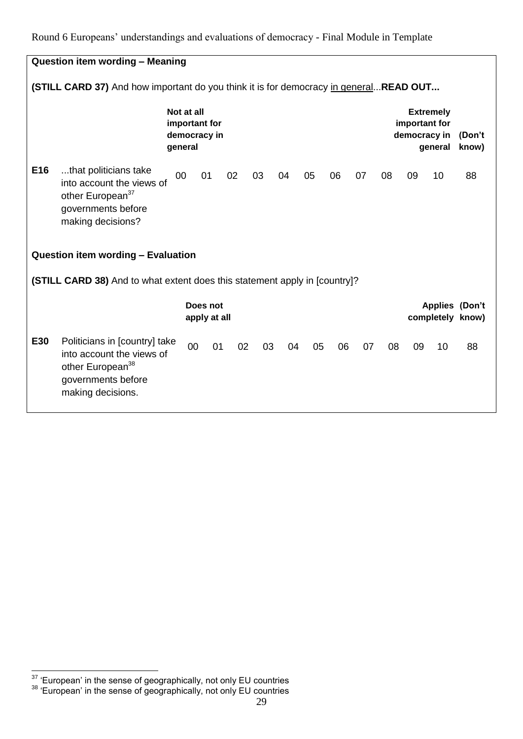|     | <b>Question item wording - Meaning</b>                                                                                                |                                                        |                          |    |    |    |    |    |    |    |    |                               |                             |                                           |
|-----|---------------------------------------------------------------------------------------------------------------------------------------|--------------------------------------------------------|--------------------------|----|----|----|----|----|----|----|----|-------------------------------|-----------------------------|-------------------------------------------|
|     | (STILL CARD 37) And how important do you think it is for democracy in general READ OUT                                                |                                                        |                          |    |    |    |    |    |    |    |    |                               |                             |                                           |
|     |                                                                                                                                       | Not at all<br>important for<br>democracy in<br>general |                          |    |    |    |    |    |    |    |    | important for<br>democracy in | <b>Extremely</b><br>general | (Don't<br>know)                           |
| E16 | that politicians take<br>into account the views of<br>other European <sup>37</sup><br>governments before<br>making decisions?         | 00                                                     | 01                       |    | 02 | 03 | 04 | 05 | 06 | 07 | 08 | 09                            | 10                          | 88                                        |
|     | Question item wording - Evaluation                                                                                                    |                                                        |                          |    |    |    |    |    |    |    |    |                               |                             |                                           |
|     | (STILL CARD 38) And to what extent does this statement apply in [country]?                                                            |                                                        |                          |    |    |    |    |    |    |    |    |                               |                             |                                           |
|     |                                                                                                                                       |                                                        | Does not<br>apply at all |    |    |    |    |    |    |    |    |                               |                             | <b>Applies (Don't</b><br>completely know) |
| E30 | Politicians in [country] take<br>into account the views of<br>other European <sup>38</sup><br>governments before<br>making decisions. |                                                        | 00                       | 01 | 02 | 03 | 04 | 05 | 06 | 07 | 08 | 09                            | 10                          | 88                                        |

<sup>&</sup>lt;u>.</u>  $37$  'European' in the sense of geographically, not only EU countries

 $38$  'European' in the sense of geographically, not only EU countries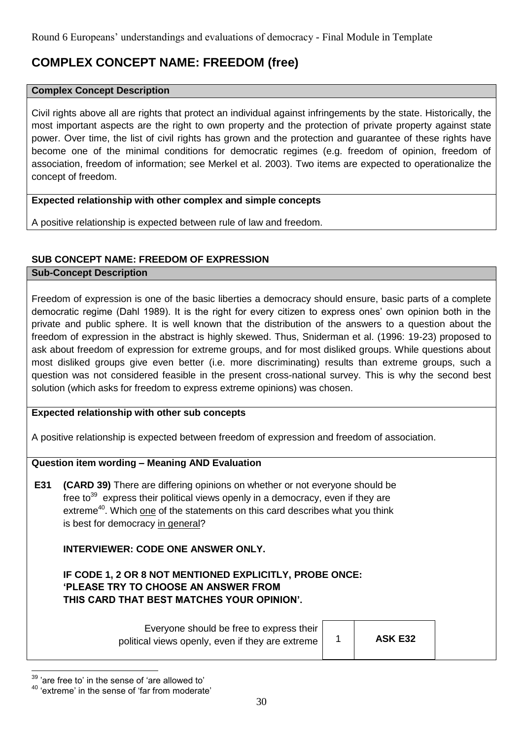# **COMPLEX CONCEPT NAME: FREEDOM (free)**

#### **Complex Concept Description**

Civil rights above all are rights that protect an individual against infringements by the state. Historically, the most important aspects are the right to own property and the protection of private property against state power. Over time, the list of civil rights has grown and the protection and guarantee of these rights have become one of the minimal conditions for democratic regimes (e.g. freedom of opinion, freedom of association, freedom of information; see Merkel et al. 2003). Two items are expected to operationalize the concept of freedom.

## **Expected relationship with other complex and simple concepts**

A positive relationship is expected between rule of law and freedom.

## **SUB CONCEPT NAME: FREEDOM OF EXPRESSION**

#### **Sub-Concept Description**

Freedom of expression is one of the basic liberties a democracy should ensure, basic parts of a complete democratic regime (Dahl 1989). It is the right for every citizen to express ones' own opinion both in the private and public sphere. It is well known that the distribution of the answers to a question about the freedom of expression in the abstract is highly skewed. Thus, Sniderman et al. (1996: 19-23) proposed to ask about freedom of expression for extreme groups, and for most disliked groups. While questions about most disliked groups give even better (i.e. more discriminating) results than extreme groups, such a question was not considered feasible in the present cross-national survey. This is why the second best solution (which asks for freedom to express extreme opinions) was chosen.

#### **Expected relationship with other sub concepts**

A positive relationship is expected between freedom of expression and freedom of association.

# **Question item wording – Meaning AND Evaluation**

**E31 (CARD 39)** There are differing opinions on whether or not everyone should be free to $^{39}$  express their political views openly in a democracy, even if they are extreme<sup>40</sup>. Which one of the statements on this card describes what you think is best for democracy in general?

# **INTERVIEWER: CODE ONE ANSWER ONLY.**

**IF CODE 1, 2 OR 8 NOT MENTIONED EXPLICITLY, PROBE ONCE: 'PLEASE TRY TO CHOOSE AN ANSWER FROM THIS CARD THAT BEST MATCHES YOUR OPINION'.** 

> Everyone should be free to express their political views openly, even if they are extreme  $\begin{vmatrix} 1 & 1 \end{vmatrix}$  **ASK E32**

<sup>&</sup>lt;u>.</u>  $39$  'are free to' in the sense of 'are allowed to'

<sup>40</sup> 'extreme' in the sense of 'far from moderate'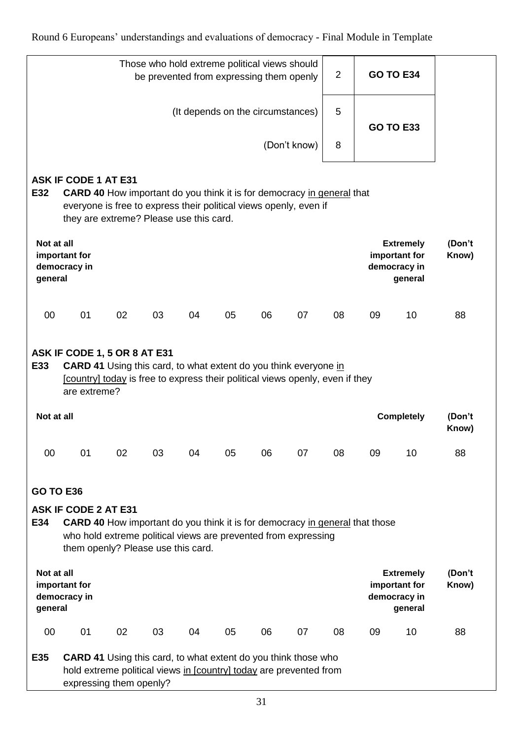|                       |                                                                                                                                                                                                                              |    | Those who hold extreme political views should<br>be prevented from expressing them openly |    |                                   |    |              | $\overline{2}$ |    | <b>GO TO E34</b>                                             |                 |
|-----------------------|------------------------------------------------------------------------------------------------------------------------------------------------------------------------------------------------------------------------------|----|-------------------------------------------------------------------------------------------|----|-----------------------------------|----|--------------|----------------|----|--------------------------------------------------------------|-----------------|
|                       |                                                                                                                                                                                                                              |    |                                                                                           |    | (It depends on the circumstances) |    |              | 5              |    | <b>GO TO E33</b>                                             |                 |
|                       |                                                                                                                                                                                                                              |    |                                                                                           |    |                                   |    | (Don't know) | 8              |    |                                                              |                 |
| E32                   | <b>ASK IF CODE 1 AT E31</b><br><b>CARD 40</b> How important do you think it is for democracy in general that<br>everyone is free to express their political views openly, even if<br>they are extreme? Please use this card. |    |                                                                                           |    |                                   |    |              |                |    |                                                              |                 |
| Not at all<br>general | important for<br>democracy in                                                                                                                                                                                                |    |                                                                                           |    |                                   |    |              |                |    | <b>Extremely</b><br>important for<br>democracy in<br>general | (Don't<br>Know) |
| 00                    | 01                                                                                                                                                                                                                           | 02 | 03                                                                                        | 04 | 05                                | 06 | 07           | 08             | 09 | 10                                                           | 88              |
| E33                   | ASK IF CODE 1, 5 OR 8 AT E31<br><b>CARD 41</b> Using this card, to what extent do you think everyone in<br>[country] today is free to express their political views openly, even if they<br>are extreme?                     |    |                                                                                           |    |                                   |    |              |                |    |                                                              |                 |
| Not at all            |                                                                                                                                                                                                                              |    |                                                                                           |    |                                   |    |              |                |    | <b>Completely</b>                                            | (Don't<br>Know) |
| 00                    | 01                                                                                                                                                                                                                           | 02 | 03                                                                                        | 04 | 05                                | 06 | 07           | 08             | 09 | 10                                                           | 88              |
| <b>GO TO E36</b>      |                                                                                                                                                                                                                              |    |                                                                                           |    |                                   |    |              |                |    |                                                              |                 |
| E34                   | <b>ASK IF CODE 2 AT E31</b><br><b>CARD 40</b> How important do you think it is for democracy in general that those<br>who hold extreme political views are prevented from expressing<br>them openly? Please use this card.   |    |                                                                                           |    |                                   |    |              |                |    |                                                              |                 |
| Not at all<br>general | important for<br>democracy in                                                                                                                                                                                                |    |                                                                                           |    |                                   |    |              |                |    | <b>Extremely</b><br>important for<br>democracy in<br>general | (Don't<br>Know) |
| 00                    | 01                                                                                                                                                                                                                           | 02 | 03                                                                                        | 04 | 05                                | 06 | 07           | 08             | 09 | 10                                                           | 88              |
| E35                   | <b>CARD 41</b> Using this card, to what extent do you think those who<br>hold extreme political views in [country] today are prevented from<br>expressing them openly?                                                       |    |                                                                                           |    |                                   |    |              |                |    |                                                              |                 |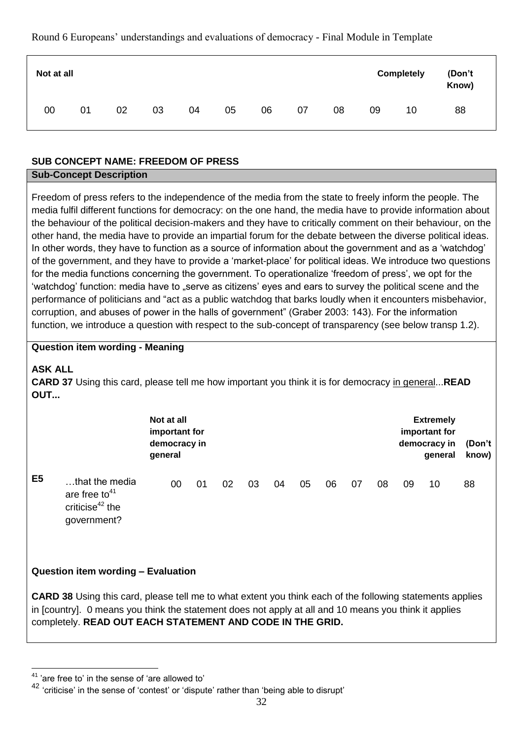| Not at all |    |    |    |    |    |    |    |    |    | <b>Completely</b> | (Don't<br>Know) |
|------------|----|----|----|----|----|----|----|----|----|-------------------|-----------------|
| 00         | 01 | 02 | 03 | 04 | 05 | 06 | 07 | 08 | 09 | 10                | 88              |

# **SUB CONCEPT NAME: FREEDOM OF PRESS**

## **Sub-Concept Description**

Freedom of press refers to the independence of the media from the state to freely inform the people. The media fulfil different functions for democracy: on the one hand, the media have to provide information about the behaviour of the political decision-makers and they have to critically comment on their behaviour, on the other hand, the media have to provide an impartial forum for the debate between the diverse political ideas. In other words, they have to function as a source of information about the government and as a 'watchdog' of the government, and they have to provide a 'market-place' for political ideas. We introduce two questions for the media functions concerning the government. To operationalize 'freedom of press', we opt for the 'watchdog' function: media have to "serve as citizens' eyes and ears to survey the political scene and the performance of politicians and "act as a public watchdog that barks loudly when it encounters misbehavior, corruption, and abuses of power in the halls of government" (Graber 2003: 143). For the information function, we introduce a question with respect to the sub-concept of transparency (see below transp 1.2).

## **Question item wording - Meaning**

# **ASK ALL**

**CARD 37** Using this card, please tell me how important you think it is for democracy in general...**READ OUT...**

|                |                                                                                  | Not at all<br>important for<br>democracy in<br>general |    |    |    |    |    |    |    |    |    | <b>Extremely</b><br>important for<br>democracy in<br>general | (Don't<br>know) |
|----------------|----------------------------------------------------------------------------------|--------------------------------------------------------|----|----|----|----|----|----|----|----|----|--------------------------------------------------------------|-----------------|
| E <sub>5</sub> | that the media<br>are free to <sup>41</sup><br>criticise $42$ the<br>government? | 00                                                     | 01 | 02 | 03 | 04 | 05 | 06 | 07 | 08 | 09 | 10                                                           | 88              |

# **Question item wording – Evaluation**

**CARD 38** Using this card, please tell me to what extent you think each of the following statements applies in [country]. 0 means you think the statement does not apply at all and 10 means you think it applies completely. **READ OUT EACH STATEMENT AND CODE IN THE GRID.**

<sup>41</sup> 'are free to' in the sense of 'are allowed to'

<sup>42</sup> 'criticise' in the sense of 'contest' or 'dispute' rather than 'being able to disrupt'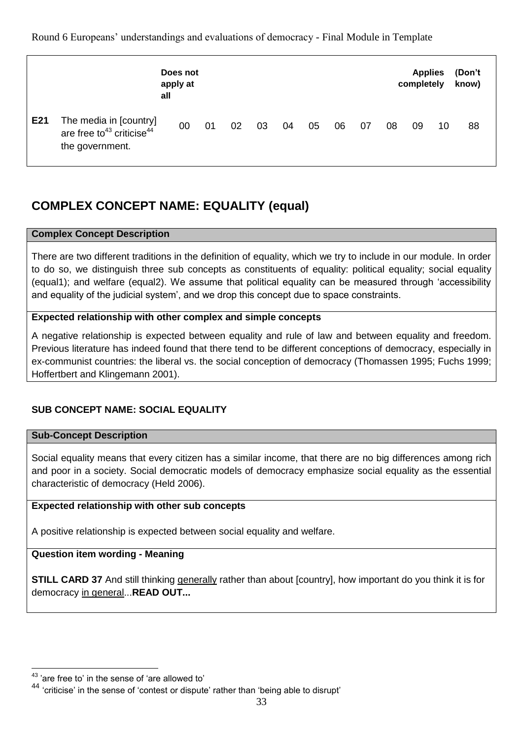|     |                                                                              | Does not<br>apply at<br>all |    |    |    |    |    |    |    |    | <b>Applies</b><br>completely |    | (Don't<br>know) |
|-----|------------------------------------------------------------------------------|-----------------------------|----|----|----|----|----|----|----|----|------------------------------|----|-----------------|
| E21 | The media in [country]<br>are free to $43$ criticise $44$<br>the government. | 00                          | 01 | 02 | 03 | 04 | 05 | 06 | 07 | 08 | 09                           | 10 | 88              |

# **COMPLEX CONCEPT NAME: EQUALITY (equal)**

# **Complex Concept Description**

There are two different traditions in the definition of equality, which we try to include in our module. In order to do so, we distinguish three sub concepts as constituents of equality: political equality; social equality (equal1); and welfare (equal2). We assume that political equality can be measured through 'accessibility and equality of the judicial system', and we drop this concept due to space constraints.

# **Expected relationship with other complex and simple concepts**

A negative relationship is expected between equality and rule of law and between equality and freedom. Previous literature has indeed found that there tend to be different conceptions of democracy, especially in ex-communist countries: the liberal vs. the social conception of democracy (Thomassen 1995; Fuchs 1999; Hoffertbert and Klingemann 2001).

# **SUB CONCEPT NAME: SOCIAL EQUALITY**

# **Sub-Concept Description**

Social equality means that every citizen has a similar income, that there are no big differences among rich and poor in a society. Social democratic models of democracy emphasize social equality as the essential characteristic of democracy (Held 2006).

# **Expected relationship with other sub concepts**

A positive relationship is expected between social equality and welfare.

# **Question item wording - Meaning**

**STILL CARD 37** And still thinking generally rather than about [country], how important do you think it is for democracy in general...**READ OUT...**

1

<sup>&#</sup>x27;are free to' in the sense of 'are allowed to'

<sup>44</sup> 'criticise' in the sense of 'contest or dispute' rather than 'being able to disrupt'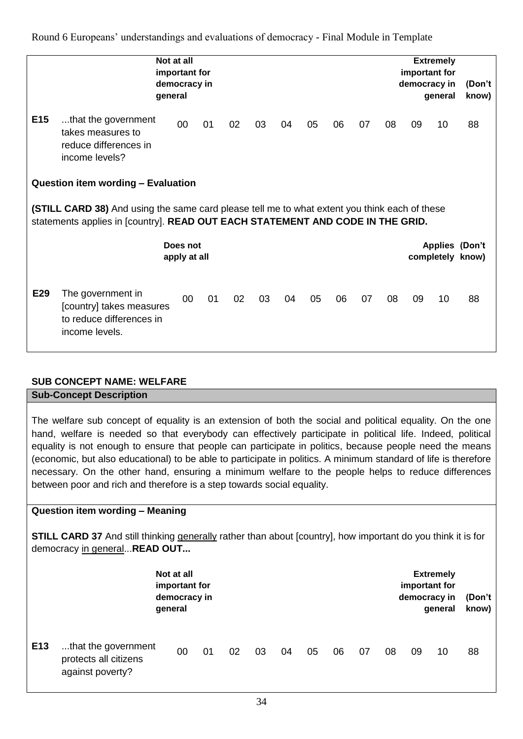|                 |                                                                                                                                                                                        | Not at all<br>important for<br>democracy in<br>general |    |    |    |    |    |    |    |    |    | <b>Extremely</b><br>important for<br>democracy in<br>general | (Don't<br>know)       |
|-----------------|----------------------------------------------------------------------------------------------------------------------------------------------------------------------------------------|--------------------------------------------------------|----|----|----|----|----|----|----|----|----|--------------------------------------------------------------|-----------------------|
| E <sub>15</sub> | that the government<br>takes measures to<br>reduce differences in<br>income levels?                                                                                                    | 00                                                     | 01 | 02 | 03 | 04 | 05 | 06 | 07 | 08 | 09 | 10                                                           | 88                    |
|                 | Question item wording - Evaluation                                                                                                                                                     |                                                        |    |    |    |    |    |    |    |    |    |                                                              |                       |
|                 | <b>(STILL CARD 38)</b> And using the same card please tell me to what extent you think each of these<br>statements applies in [country]. READ OUT EACH STATEMENT AND CODE IN THE GRID. |                                                        |    |    |    |    |    |    |    |    |    |                                                              |                       |
|                 |                                                                                                                                                                                        | Does not<br>apply at all                               |    |    |    |    |    |    |    |    |    | completely know)                                             | <b>Applies (Don't</b> |
| E29             | The government in<br>[country] takes measures<br>to reduce differences in<br>income levels.                                                                                            | $00\,$                                                 | 01 | 02 | 03 | 04 | 05 | 06 | 07 | 08 | 09 | 10                                                           | 88                    |

# **SUB CONCEPT NAME: WELFARE**

**Sub-Concept Description**

The welfare sub concept of equality is an extension of both the social and political equality. On the one hand, welfare is needed so that everybody can effectively participate in political life. Indeed, political equality is not enough to ensure that people can participate in politics, because people need the means (economic, but also educational) to be able to participate in politics. A minimum standard of life is therefore necessary. On the other hand, ensuring a minimum welfare to the people helps to reduce differences between poor and rich and therefore is a step towards social equality.

# **Question item wording – Meaning**

**STILL CARD 37** And still thinking generally rather than about [country], how important do you think it is for democracy in general...**READ OUT...**

|                 |                                                                  | Not at all<br>important for<br>democracy in<br>general |    |    |    |    |    |    |    |    |    | <b>Extremely</b><br>important for<br>democracy in<br>general | (Don't<br>know) |
|-----------------|------------------------------------------------------------------|--------------------------------------------------------|----|----|----|----|----|----|----|----|----|--------------------------------------------------------------|-----------------|
| E <sub>13</sub> | that the government<br>protects all citizens<br>against poverty? | 00                                                     | 01 | 02 | 03 | 04 | 05 | 06 | 07 | 08 | 09 | 10                                                           | 88              |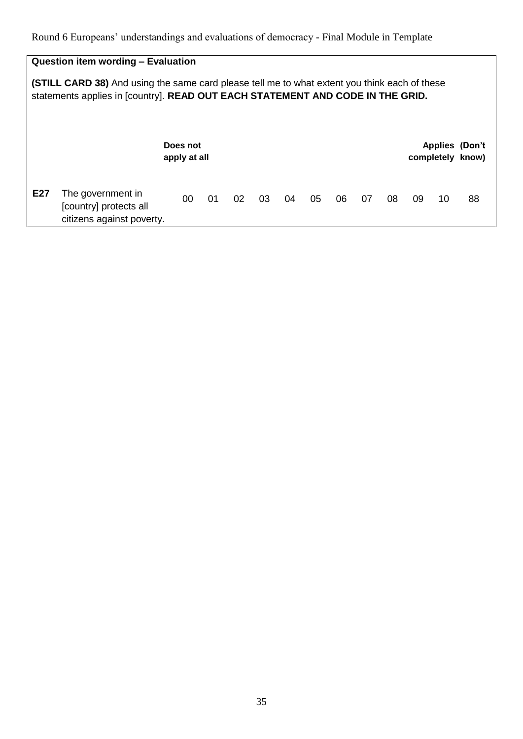# **Question item wording – Evaluation**

**(STILL CARD 38)** And using the same card please tell me to what extent you think each of these statements applies in [country]. **READ OUT EACH STATEMENT AND CODE IN THE GRID.**

|     |                                                                          | Does not<br>apply at all |    |    |    |    |    |    |    |    |    |    | <b>Applies (Don't</b><br>completely know) |
|-----|--------------------------------------------------------------------------|--------------------------|----|----|----|----|----|----|----|----|----|----|-------------------------------------------|
| E27 | The government in<br>[country] protects all<br>citizens against poverty. | 00                       | 01 | 02 | 03 | 04 | 05 | 06 | 07 | 08 | 09 | 10 | 88                                        |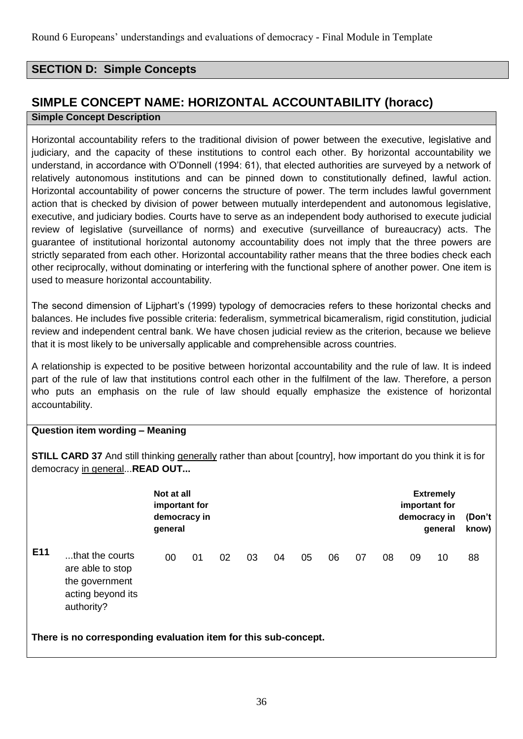# **SECTION D: Simple Concepts**

# **SIMPLE CONCEPT NAME: HORIZONTAL ACCOUNTABILITY (horacc)**

#### **Simple Concept Description**

Horizontal accountability refers to the traditional division of power between the executive, legislative and judiciary, and the capacity of these institutions to control each other. By horizontal accountability we understand, in accordance with O'Donnell (1994: 61), that elected authorities are surveyed by a network of relatively autonomous institutions and can be pinned down to constitutionally defined, lawful action. Horizontal accountability of power concerns the structure of power. The term includes lawful government action that is checked by division of power between mutually interdependent and autonomous legislative, executive, and judiciary bodies. Courts have to serve as an independent body authorised to execute judicial review of legislative (surveillance of norms) and executive (surveillance of bureaucracy) acts. The guarantee of institutional horizontal autonomy accountability does not imply that the three powers are strictly separated from each other. Horizontal accountability rather means that the three bodies check each other reciprocally, without dominating or interfering with the functional sphere of another power. One item is used to measure horizontal accountability.

The second dimension of Lijphart's (1999) typology of democracies refers to these horizontal checks and balances. He includes five possible criteria: federalism, symmetrical bicameralism, rigid constitution, judicial review and independent central bank. We have chosen judicial review as the criterion, because we believe that it is most likely to be universally applicable and comprehensible across countries.

A relationship is expected to be positive between horizontal accountability and the rule of law. It is indeed part of the rule of law that institutions control each other in the fulfilment of the law. Therefore, a person who puts an emphasis on the rule of law should equally emphasize the existence of horizontal accountability.

# **Question item wording – Meaning**

**STILL CARD 37** And still thinking generally rather than about [country], how important do you think it is for democracy in general...**READ OUT...**

|     |                                                                                          | Not at all<br>important for<br>democracy in<br>general |    |    |    |    |    |    |    |    | important for<br>democracy in | <b>Extremely</b><br>general | (Don't<br>know) |
|-----|------------------------------------------------------------------------------------------|--------------------------------------------------------|----|----|----|----|----|----|----|----|-------------------------------|-----------------------------|-----------------|
| E11 | that the courts<br>are able to stop<br>the government<br>acting beyond its<br>authority? | 00                                                     | 01 | 02 | 03 | 04 | 05 | 06 | 07 | 08 | 09                            | 10                          | 88              |
|     | There is no corresponding evaluation item for this sub-concept.                          |                                                        |    |    |    |    |    |    |    |    |                               |                             |                 |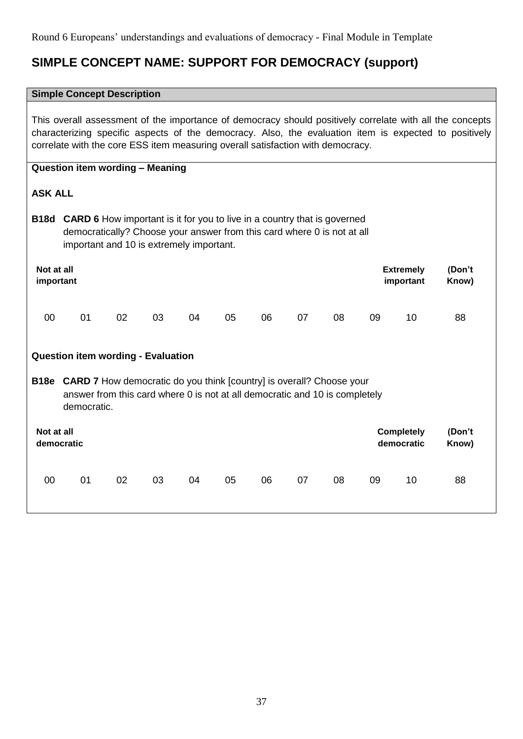# **SIMPLE CONCEPT NAME: SUPPORT FOR DEMOCRACY (support)**

#### **Simple Concept Description**

This overall assessment of the importance of democracy should positively correlate with all the concepts characterizing specific aspects of the democracy. Also, the evaluation item is expected to positively correlate with the core ESS item measuring overall satisfaction with democracy.

# **Question item wording – Meaning**

# **ASK ALL**

**B18d CARD 6** How important is it for you to live in a country that is governed democratically? Choose your answer from this card where 0 is not at all important and 10 is extremely important.

| Not at all | <b>Extremely</b> | (Don't |
|------------|------------------|--------|
| important  | important        | Know)  |
|            |                  |        |

00 01 02 03 04 05 06 07 08 09 10 88

# **Question item wording - Evaluation**

**B18e CARD 7** How democratic do you think [country] is overall? Choose your answer from this card where 0 is not at all democratic and 10 is completely democratic.

| Not at all |    |    |    |    |    |    |    | <b>Completely</b> |    | (Don't |    |
|------------|----|----|----|----|----|----|----|-------------------|----|--------|----|
| democratic |    |    |    |    |    |    |    | democratic        |    | Know)  |    |
| 00         | 01 | 02 | 03 | 04 | 05 | 06 | 07 | 08                | 09 | 10     | 88 |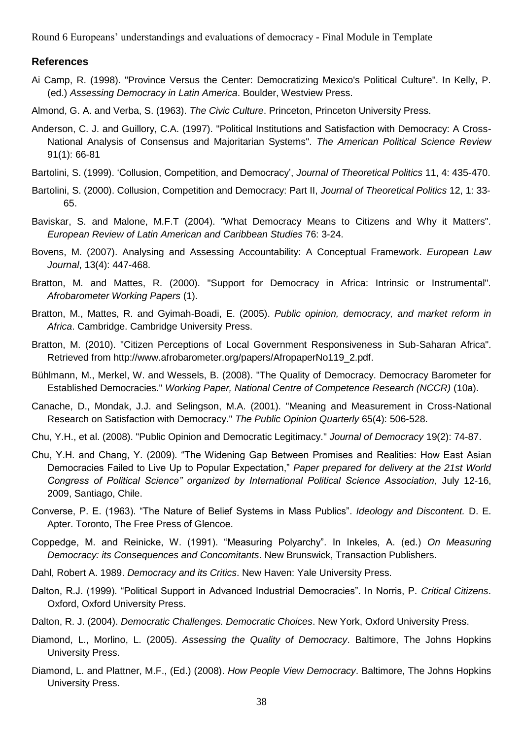#### **References**

Ai Camp, R. (1998). "Province Versus the Center: Democratizing Mexico's Political Culture". In Kelly, P. (ed.) *Assessing Democracy in Latin America*. Boulder, Westview Press.

Almond, G. A. and Verba, S. (1963). *The Civic Culture*. Princeton, Princeton University Press.

- Anderson, C. J. and Guillory, C.A. (1997). "Political Institutions and Satisfaction with Democracy: A Cross-National Analysis of Consensus and Majoritarian Systems". *The American Political Science Review*  91(1): 66-81
- Bartolini, S. (1999). 'Collusion, Competition, and Democracy', *Journal of Theoretical Politics* 11, 4: 435-470.
- Bartolini, S. (2000). Collusion, Competition and Democracy: Part II, *Journal of Theoretical Politics* 12, 1: 33- 65.
- Baviskar, S. and Malone, M.F.T (2004). "What Democracy Means to Citizens and Why it Matters". *European Review of Latin American and Caribbean Studies* 76: 3-24.
- Bovens, M. (2007). Analysing and Assessing Accountability: A Conceptual Framework. *European Law Journal*, 13(4): 447-468.
- Bratton, M. and Mattes, R. (2000). "Support for Democracy in Africa: Intrinsic or Instrumental". *Afrobarometer Working Papers* (1).
- Bratton, M., Mattes, R. and Gyimah-Boadi, E. (2005). *Public opinion, democracy, and market reform in Africa*. Cambridge. Cambridge University Press.
- Bratton, M. (2010). "Citizen Perceptions of Local Government Responsiveness in Sub-Saharan Africa". Retrieved from http://www.afrobarometer.org/papers/AfropaperNo119\_2.pdf.
- Bühlmann, M., Merkel, W. and Wessels, B. (2008). "The Quality of Democracy. Democracy Barometer for Established Democracies." *Working Paper, National Centre of Competence Research (NCCR)* (10a).
- Canache, D., Mondak, J.J. and Selingson, M.A. (2001). "Meaning and Measurement in Cross-National Research on Satisfaction with Democracy." *The Public Opinion Quarterly* 65(4): 506-528.
- Chu, Y.H., et al. (2008). "Public Opinion and Democratic Legitimacy." *Journal of Democracy* 19(2): 74-87.
- Chu, Y.H. and Chang, Y. (2009). "The Widening Gap Between Promises and Realities: How East Asian Democracies Failed to Live Up to Popular Expectation," *Paper prepared for delivery at the 21st World Congress of Political Science" organized by International Political Science Association*, July 12-16, 2009, Santiago, Chile.
- Converse, P. E. (1963). "The Nature of Belief Systems in Mass Publics". *Ideology and Discontent.* D. E. Apter. Toronto, The Free Press of Glencoe.
- Coppedge, M. and Reinicke, W. (1991). "Measuring Polyarchy". In Inkeles, A. (ed.) *On Measuring Democracy: its Consequences and Concomitants*. New Brunswick, Transaction Publishers.
- Dahl, Robert A. 1989. *Democracy and its Critics*. New Haven: Yale University Press.
- Dalton, R.J. (1999). "Political Support in Advanced Industrial Democracies". In Norris, P. *Critical Citizens*. Oxford, Oxford University Press.
- Dalton, R. J. (2004). *Democratic Challenges. Democratic Choices*. New York, Oxford University Press.
- Diamond, L., Morlino, L. (2005). *Assessing the Quality of Democracy*. Baltimore, The Johns Hopkins University Press.
- Diamond, L. and Plattner, M.F., (Ed.) (2008). *How People View Democracy*. Baltimore, The Johns Hopkins University Press.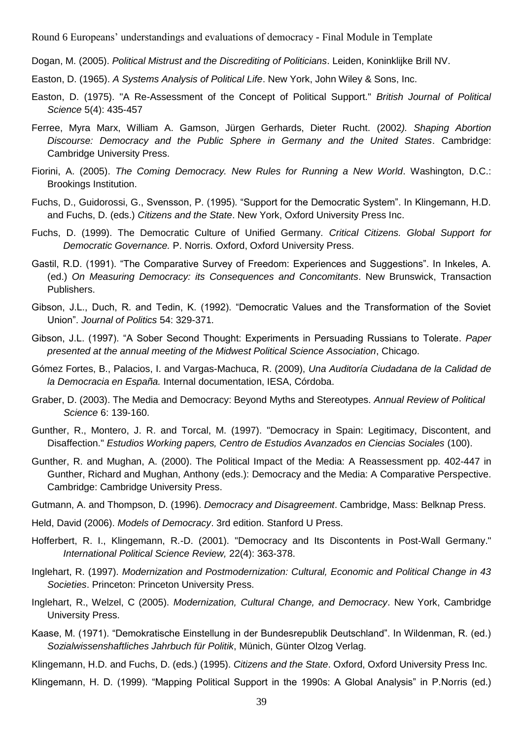Dogan, M. (2005). *Political Mistrust and the Discrediting of Politicians*. Leiden, Koninklijke Brill NV.

- Easton, D. (1965). *A Systems Analysis of Political Life*. New York, John Wiley & Sons, Inc.
- Easton, D. (1975). "A Re-Assessment of the Concept of Political Support." *British Journal of Political Science* 5(4): 435-457
- Ferree, Myra Marx, William A. Gamson, Jürgen Gerhards, Dieter Rucht. (2002*). Shaping Abortion Discourse: Democracy and the Public Sphere in Germany and the United States*. Cambridge: Cambridge University Press.
- Fiorini, A. (2005). *The Coming Democracy. New Rules for Running a New World*. Washington, D.C.: Brookings Institution.
- Fuchs, D., Guidorossi, G., Svensson, P. (1995). "Support for the Democratic System". In Klingemann, H.D. and Fuchs, D. (eds.) *Citizens and the State*. New York, Oxford University Press Inc.
- Fuchs, D. (1999). The Democratic Culture of Unified Germany. *Critical Citizens. Global Support for Democratic Governance.* P. Norris. Oxford, Oxford University Press.
- Gastil, R.D. (1991). "The Comparative Survey of Freedom: Experiences and Suggestions". In Inkeles, A. (ed.) *On Measuring Democracy: its Consequences and Concomitants*. New Brunswick, Transaction Publishers.
- Gibson, J.L., Duch, R. and Tedin, K. (1992). "Democratic Values and the Transformation of the Soviet Union". *Journal of Politics* 54: 329-371.
- Gibson, J.L. (1997). "A Sober Second Thought: Experiments in Persuading Russians to Tolerate. *Paper presented at the annual meeting of the Midwest Political Science Association*, Chicago.
- Gómez Fortes, B., Palacios, I. and Vargas-Machuca, R. (2009), *Una Auditoría Ciudadana de la Calidad de la Democracia en España.* Internal documentation, IESA, Córdoba.
- Graber, D. (2003). The Media and Democracy: Beyond Myths and Stereotypes. *Annual Review of Political Science* 6: 139-160.
- Gunther, R., Montero, J. R. and Torcal, M. (1997). "Democracy in Spain: Legitimacy, Discontent, and Disaffection." *Estudios Working papers, Centro de Estudios Avanzados en Ciencias Sociales* (100).
- Gunther, R. and Mughan, A. (2000). The Political Impact of the Media: A Reassessment pp. 402-447 in Gunther, Richard and Mughan, Anthony (eds.): Democracy and the Media: A Comparative Perspective. Cambridge: Cambridge University Press.
- Gutmann, A. and Thompson, D. (1996). *Democracy and Disagreement*. Cambridge, Mass: Belknap Press.
- Held, David (2006). *Models of Democracy*. 3rd edition. Stanford U Press.
- Hofferbert, R. I., Klingemann, R.-D. (2001). "Democracy and Its Discontents in Post-Wall Germany." *International Political Science Review,* 22(4): 363-378.
- Inglehart, R. (1997). *Modernization and Postmodernization: Cultural, Economic and Political Change in 43 Societies*. Princeton: Princeton University Press.
- Inglehart, R., Welzel, C (2005). *Modernization, Cultural Change, and Democracy*. New York, Cambridge University Press.
- Kaase, M. (1971). "Demokratische Einstellung in der Bundesrepublik Deutschland". In Wildenman, R. (ed.) *Sozialwissenshaftliches Jahrbuch für Politik*, Münich, Günter Olzog Verlag.

Klingemann, H.D. and Fuchs, D. (eds.) (1995). *Citizens and the State*. Oxford, Oxford University Press Inc.

Klingemann, H. D. (1999). "Mapping Political Support in the 1990s: A Global Analysis" in P.Norris (ed.)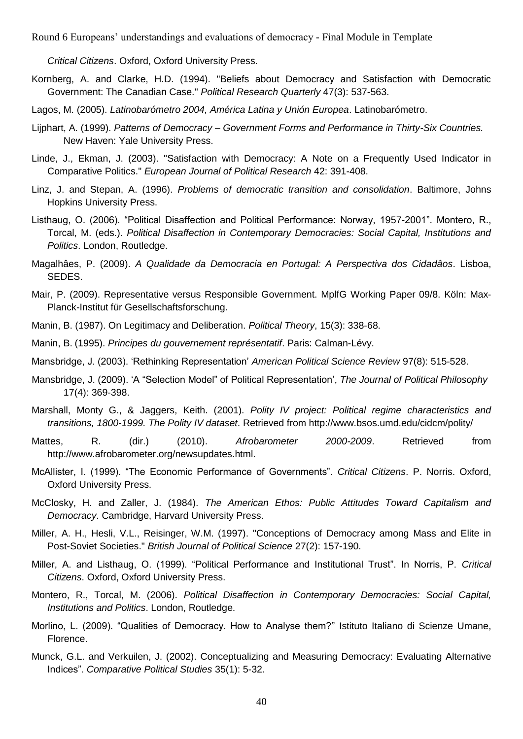*Critical Citizens*. Oxford, Oxford University Press.

- Kornberg, A. and Clarke, H.D. (1994). "Beliefs about Democracy and Satisfaction with Democratic Government: The Canadian Case." *Political Research Quarterly* 47(3): 537-563.
- Lagos, M. (2005). *Latinobarómetro 2004, América Latina y Unión Europea*. Latinobarómetro.
- Lijphart, A. (1999). *Patterns of Democracy – Government Forms and Performance in Thirty-Six Countries.* New Haven: Yale University Press.
- Linde, J., Ekman, J. (2003). "Satisfaction with Democracy: A Note on a Frequently Used Indicator in Comparative Politics." *European Journal of Political Research* 42: 391-408.
- Linz, J. and Stepan, A. (1996). *Problems of democratic transition and consolidation*. Baltimore, Johns Hopkins University Press.
- Listhaug, O. (2006). "Political Disaffection and Political Performance: Norway, 1957-2001". Montero, R., Torcal, M. (eds.). *Political Disaffection in Contemporary Democracies: Social Capital, Institutions and Politics*. London, Routledge.
- Magalhâes, P. (2009). *A Qualidade da Democracia en Portugal: A Perspectiva dos Cidadâos*. Lisboa, SEDES.
- Mair, P. (2009). Representative versus Responsible Government. MplfG Working Paper 09/8. Köln: Max-Planck-Institut für Gesellschaftsforschung.
- Manin, B. (1987). On Legitimacy and Deliberation. *Political Theory*, 15(3): 338-68.
- Manin, B. (1995). *Principes du gouvernement représentatif*. Paris: Calman-Lévy.
- Mansbridge, J. (2003). 'Rethinking Representation' *American Political Science Review* 97(8): 515-528.
- Mansbridge, J. (2009). 'A "Selection Model" of Political Representation', *The Journal of Political Philosophy* 17(4): 369-398.
- Marshall, Monty G., & Jaggers, Keith. (2001). *Polity IV project: Political regime characteristics and transitions, 1800-1999. The Polity IV dataset*. Retrieved from http://www.bsos.umd.edu/cidcm/polity/
- Mattes, R. (dir.) (2010). *Afrobarometer 2000-2009*. Retrieved from http://www.afrobarometer.org/newsupdates.html.
- McAllister, I. (1999). "The Economic Performance of Governments". *Critical Citizens*. P. Norris. Oxford, Oxford University Press.
- McClosky, H. and Zaller, J. (1984). *The American Ethos: Public Attitudes Toward Capitalism and Democracy*. Cambridge, Harvard University Press.
- Miller, A. H., Hesli, V.L., Reisinger, W.M. (1997). "Conceptions of Democracy among Mass and Elite in Post-Soviet Societies." *British Journal of Political Science* 27(2): 157-190.
- Miller, A. and Listhaug, O. (1999). "Political Performance and Institutional Trust". In Norris, P. *Critical Citizens*. Oxford, Oxford University Press.
- Montero, R., Torcal, M. (2006). *Political Disaffection in Contemporary Democracies: Social Capital, Institutions and Politics*. London, Routledge.
- Morlino, L. (2009). "Qualities of Democracy. How to Analyse them?" Istituto Italiano di Scienze Umane, Florence.
- Munck, G.L. and Verkuilen, J. (2002). Conceptualizing and Measuring Democracy: Evaluating Alternative Indices". *Comparative Political Studies* 35(1): 5-32.